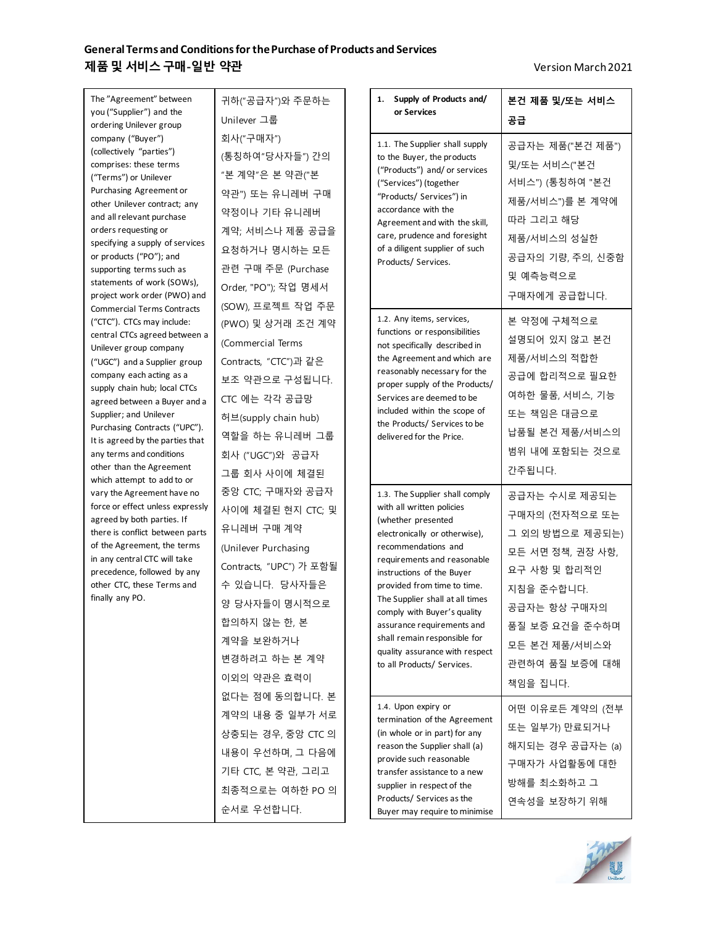## **General Terms and Conditions for the Purchase of Products and Services 제품및 서비스구매-일반 약관** Version March2021

| The "Agreement" between<br>you ("Supplier") and the               | 귀하("공급자")와 주문하는<br>Unilever 그룹         |                                                 | Supply of Products and/<br>1.<br>or Services                                                            | 본건 제품 및/또는 서비스   |
|-------------------------------------------------------------------|----------------------------------------|-------------------------------------------------|---------------------------------------------------------------------------------------------------------|------------------|
| ordering Unilever group<br>company ("Buyer")                      | 회사("구매자")                              |                                                 |                                                                                                         | 공급               |
| (collectively "parties")                                          | (통칭하여"당사자들") 간의                        |                                                 | 1.1. The Supplier shall supply<br>to the Buyer, the products                                            | 공급자는 제품("본건 제품") |
| comprises: these terms<br>("Terms") or Unilever                   | "본 계약"은 본 약관("본                        |                                                 | ("Products") and/ or services                                                                           | 및/또는 서비스("본건     |
| Purchasing Agreement or                                           | 약관") 또는 유니레버 구매                        |                                                 | ("Services") (together                                                                                  | 서비스") (통칭하여 "본건  |
| other Unilever contract; any<br>약정이나 기타 유니레버                      |                                        | "Products/ Services") in<br>accordance with the | 제품/서비스")를 본 계약에                                                                                         |                  |
| and all relevant purchase<br>orders requesting or                 | 계약; 서비스나 제품 공급을                        |                                                 | Agreement and with the skill,                                                                           | 따라 그리고 해당        |
| specifying a supply of services                                   | 요청하거나 명시하는 모든                          |                                                 | care, prudence and foresight<br>of a diligent supplier of such                                          | 제품/서비스의 성실한      |
| or products ("PO"); and                                           | 관련 구매 주문 (Purchase                     |                                                 | Products/ Services.                                                                                     | 공급자의 기량, 주의, 신중함 |
| supporting terms such as<br>statements of work (SOWs),            | Order, "PO"); 작업 명세서                   |                                                 |                                                                                                         | 및 예측능력으로         |
| project work order (PWO) and                                      |                                        |                                                 |                                                                                                         | 구매자에게 공급합니다.     |
| <b>Commercial Terms Contracts</b><br>("CTC"). CTCs may include:   | (SOW), 프로젝트 작업 주문<br>(PWO) 및 상거래 조건 계약 |                                                 | 1.2. Any items, services,                                                                               | 본 약정에 구체적으로      |
| central CTCs agreed between a                                     | (Commercial Terms                      |                                                 | functions or responsibilities<br>not specifically described in                                          | 설명되어 있지 않고 본건    |
| Unilever group company<br>("UGC") and a Supplier group            | Contracts, "CTC")과 같은                  |                                                 | the Agreement and which are                                                                             | 제품/서비스의 적합한      |
| company each acting as a                                          | 보조 약관으로 구성됩니다.                         |                                                 | reasonably necessary for the<br>proper supply of the Products/                                          | 공급에 합리적으로 필요한    |
| supply chain hub; local CTCs<br>agreed between a Buyer and a      | CTC 에는 각각 공급망                          |                                                 | Services are deemed to be                                                                               | 여하한 물품, 서비스, 기능  |
| Supplier; and Unilever                                            | 허브(supply chain hub)                   |                                                 | included within the scope of                                                                            | 또는 책임은 대금으로      |
| Purchasing Contracts ("UPC").<br>It is agreed by the parties that | 역할을 하는 유니레버 그룹                         |                                                 | the Products/ Services to be<br>delivered for the Price.                                                | 납품될 본건 제품/서비스의   |
| any terms and conditions                                          | 회사 ("UGC")와 공급자                        |                                                 |                                                                                                         | 범위 내에 포함되는 것으로   |
| other than the Agreement<br>which attempt to add to or            | 그룹 회사 사이에 체결된                          |                                                 |                                                                                                         | 간주됩니다.           |
| vary the Agreement have no                                        | 중앙 CTC; 구매자와 공급자                       |                                                 | 1.3. The Supplier shall comply                                                                          | 공급자는 수시로 제공되는    |
| force or effect unless expressly                                  | 사이에 체결된 현지 CTC; 및                      |                                                 | with all written policies<br>(whether presented<br>electronically or otherwise),<br>recommendations and | 구매자의 (전자적으로 또는   |
| agreed by both parties. If<br>there is conflict between parts     | 유니레버 구매 계약                             |                                                 |                                                                                                         | 그 외의 방법으로 제공되는)  |
| of the Agreement, the terms                                       | (Unilever Purchasing                   |                                                 |                                                                                                         | 모든 서면 정책, 권장 사항, |
| in any central CTC will take<br>precedence, followed by any       | Contracts, "UPC") 가 포함될                |                                                 | requirements and reasonable<br>instructions of the Buyer                                                | 요구 사항 및 합리적인     |
| other CTC, these Terms and                                        | 수 있습니다. 당사자들은                          |                                                 | provided from time to time.                                                                             | 지침을 준수합니다.       |
| finally any PO.                                                   | 양 당사자들이 명시적으로                          |                                                 | The Supplier shall at all times<br>comply with Buyer's quality                                          | 공급자는 항상 구매자의     |
|                                                                   | 합의하지 않는 한, 본                           |                                                 | assurance requirements and                                                                              | 품질 보증 요건을 준수하며   |
|                                                                   | 계약을 보완하거나                              |                                                 | shall remain responsible for                                                                            | 모든 본건 제품/서비스와    |
|                                                                   | 변경하려고 하는 본 계약                          |                                                 | quality assurance with respect<br>to all Products/ Services.                                            | 관련하여 품질 보증에 대해   |
|                                                                   | 이외의 약관은 효력이                            |                                                 |                                                                                                         | 책임을 집니다.         |
|                                                                   | 없다는 점에 동의합니다. 본                        |                                                 |                                                                                                         |                  |
|                                                                   | 계약의 내용 중 일부가 서로                        |                                                 | 1.4. Upon expiry or<br>termination of the Agreement                                                     | 어떤 이유로든 계약의 (전부  |
|                                                                   | 상충되는 경우, 중앙 CTC 의                      |                                                 | (in whole or in part) for any                                                                           | 또는 일부가) 만료되거나    |
|                                                                   | 내용이 우선하며, 그 다음에                        |                                                 | reason the Supplier shall (a)<br>provide such reasonable                                                | 해지되는 경우 공급자는 (a) |
|                                                                   | 기타 CTC, 본 약관, 그리고                      |                                                 | transfer assistance to a new                                                                            | 구매자가 사업활동에 대한    |
|                                                                   | 최종적으로는 여하한 PO 의                        |                                                 | supplier in respect of the                                                                              | 방해를 최소화하고 그      |
|                                                                   | 순서로 우선합니다.                             |                                                 | Products/ Services as the<br>Buyer may require to minimise                                              | 연속성을 보장하기 위해     |

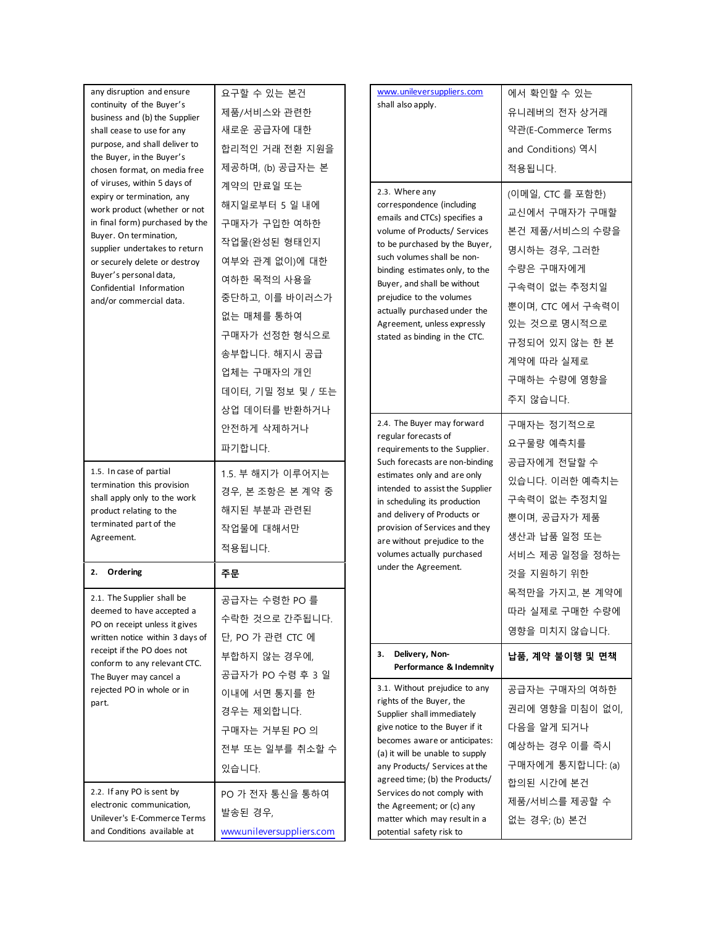| any disruption and ensure<br>continuity of the Buyer's<br>business and (b) the Supplier<br>shall cease to use for any<br>purpose, and shall deliver to<br>the Buyer, in the Buyer's<br>chosen format, on media free                                                                                        | 요구할 수 있는 본건<br>제품/서비스와 관련한<br>새로운 공급자에 대한<br>합리적인 거래 전환 지원을<br>제공하며, (b) 공급자는 본                                                                                                                   | www.unileversuppliers.com<br>shall also apply.                                                                                                                                                                                                                                                                                                                          | 에서 확인할 수 있는<br>유니레버의 전자 상거래<br>약관(E-Commerce Terms<br>and Conditions) 역시<br>적용됩니다.                                                                                                               |
|------------------------------------------------------------------------------------------------------------------------------------------------------------------------------------------------------------------------------------------------------------------------------------------------------------|---------------------------------------------------------------------------------------------------------------------------------------------------------------------------------------------------|-------------------------------------------------------------------------------------------------------------------------------------------------------------------------------------------------------------------------------------------------------------------------------------------------------------------------------------------------------------------------|--------------------------------------------------------------------------------------------------------------------------------------------------------------------------------------------------|
| of viruses, within 5 days of<br>expiry or termination, any<br>work product (whether or not<br>in final form) purchased by the<br>Buyer. On termination,<br>supplier undertakes to return<br>or securely delete or destroy<br>Buyer's personal data,<br>Confidential Information<br>and/or commercial data. | 계약의 만료일 또는<br>해지일로부터 5일 내에<br>구매자가 구입한 여하한<br>작업물(완성된 형태인지<br>여부와 관계 없이)에 대한<br>여하한 목적의 사용을<br>중단하고, 이를 바이러스가<br>없는 매체를 통하여<br>구매자가 선정한 형식으로<br>송부합니다. 해지시 공급<br>업체는 구매자의 개인<br>데이터, 기밀 정보 및 / 또는 | 2.3. Where any<br>correspondence (including<br>emails and CTCs) specifies a<br>volume of Products/ Services<br>to be purchased by the Buyer,<br>such volumes shall be non-<br>binding estimates only, to the<br>Buyer, and shall be without<br>prejudice to the volumes<br>actually purchased under the<br>Agreement, unless expressly<br>stated as binding in the CTC. | (이메일, CTC 를 포함한)<br>교신에서 구매자가 구매할<br>본건 제품/서비스의 수량을<br>명시하는 경우, 그러한<br>수량은 구매자에게<br>구속력이 없는 추정치일<br>뿐이며, CTC 에서 구속력이<br>있는 것으로 명시적으로<br>규정되어 있지 않는 한 본<br>계약에 따라 실제로<br>구매하는 수량에 영향을<br>주지 않습니다. |
|                                                                                                                                                                                                                                                                                                            | 상업 데이터를 반환하거나<br>안전하게 삭제하거나<br>파기합니다.                                                                                                                                                             | 2.4. The Buyer may forward<br>regular forecasts of<br>requirements to the Supplier.                                                                                                                                                                                                                                                                                     | 구매자는 정기적으로<br>요구물량 예측치를                                                                                                                                                                          |
| 1.5. In case of partial<br>termination this provision<br>shall apply only to the work<br>product relating to the<br>terminated part of the<br>Agreement.                                                                                                                                                   | 1.5. 부 해지가 이루어지는<br>경우, 본 조항은 본 계약 중<br>해지된 부분과 관련된<br>작업물에 대해서만<br>적용됩니다.                                                                                                                        | Such forecasts are non-binding<br>estimates only and are only<br>intended to assist the Supplier<br>in scheduling its production<br>and delivery of Products or<br>provision of Services and they<br>are without prejudice to the<br>volumes actually purchased                                                                                                         | 공급자에게 전달할 수<br>있습니다. 이러한 예측치는<br>구속력이 없는 추정치일<br>뿐이며, 공급자가 제품<br>생산과 납품 일정 또는<br>서비스 제공 일정을 정하는                                                                                                  |
| Ordering<br>2.                                                                                                                                                                                                                                                                                             | 주문                                                                                                                                                                                                | under the Agreement.                                                                                                                                                                                                                                                                                                                                                    | 것을 지원하기 위한                                                                                                                                                                                       |
| 2.1. The Supplier shall be<br>deemed to have accepted a<br>PO on receipt unless it gives<br>written notice within 3 days of                                                                                                                                                                                | 공급자는 수령한 PO 를<br>수락한 것으로 간주됩니다.<br>단, PO 가 관련 CTC 에                                                                                                                                               |                                                                                                                                                                                                                                                                                                                                                                         | 목적만을 가지고, 본 계약에<br>따라 실제로 구매한 수량에<br>영향을 미치지 않습니다.                                                                                                                                               |
| receipt if the PO does not<br>conform to any relevant CTC.<br>The Buyer may cancel a                                                                                                                                                                                                                       | 부합하지 않는 경우에,<br>공급자가 PO 수령 후 3 일                                                                                                                                                                  | 3. Delivery, Non-<br>Performance & Indemnity                                                                                                                                                                                                                                                                                                                            | 납품, 계약 불이행 및 면책                                                                                                                                                                                  |
| rejected PO in whole or in<br>part.                                                                                                                                                                                                                                                                        | 이내에 서면 통지를 한<br>경우는 제외합니다.<br>구매자는 거부된 PO 의<br>전부 또는 일부를 취소할 수<br>있습니다.                                                                                                                           | 3.1. Without prejudice to any<br>rights of the Buyer, the<br>Supplier shall immediately<br>give notice to the Buyer if it<br>becomes aware or anticipates:<br>(a) it will be unable to supply<br>any Products/ Services at the                                                                                                                                          | 공급자는 구매자의 여하한<br>권리에 영향을 미침이 없이,<br>다음을 알게 되거나<br>예상하는 경우 이를 즉시<br>구매자에게 통지합니다: (a)                                                                                                              |
| 2.2. If any PO is sent by<br>electronic communication,<br>Unilever's E-Commerce Terms<br>and Conditions available at                                                                                                                                                                                       | PO 가 전자 통신을 통하여<br>발송된 경우,<br>www.unileversuppliers.com                                                                                                                                           | agreed time; (b) the Products/<br>Services do not comply with<br>the Agreement; or (c) any<br>matter which may result in a<br>potential safety risk to                                                                                                                                                                                                                  | 합의된 시간에 본건<br>제품/서비스를 제공할 수<br>없는 경우; (b) 본건                                                                                                                                                     |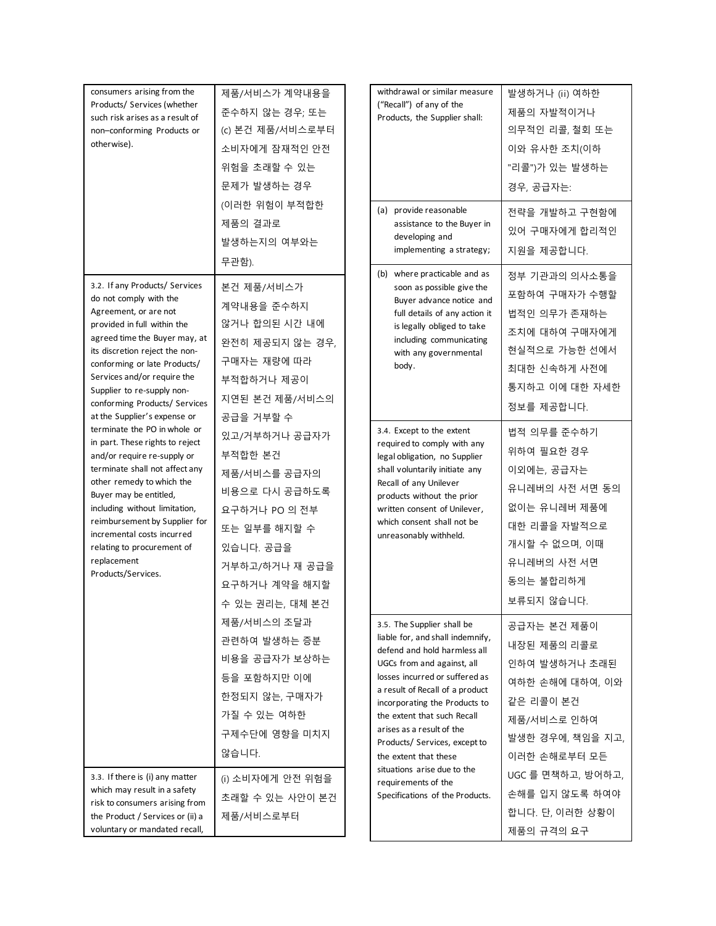| consumers arising from the<br>Products/ Services (whether<br>such risk arises as a result of<br>non-conforming Products or<br>otherwise).                                                                                                                                                                                                                                                                                                                                                                                                                                | 제품/서비스가 계약내용을<br>준수하지 않는 경우; 또는<br>(c) 본건 제품/서비스로부터<br>소비자에게 잠재적인 안전<br>위험을 초래할 수 있는<br>문제가 발생하는 경우<br>(이러한 위험이 부적합한<br>제품의 결과로<br>발생하는지의 여부와는<br>무관함).                                                                                                                     | withdrawal or similar measure<br>("Recall") of any of the<br>Products, the Supplier shall:<br>(a) provide reasonable<br>assistance to the Buyer in<br>developing and<br>implementing a strategy;                                                                                                                                                                                                                                                  | 발생하거나 (ii) 여하한<br>제품의 자발적이거나<br>의무적인 리콜, 철회 또는<br>이와 유사한 조치(이하<br>"리콜")가 있는 발생하는<br>경우, 공급자는:<br>전략을 개발하고 구현함에<br>있어 구매자에게 합리적인<br>지원을 제공합니다.                                            |
|--------------------------------------------------------------------------------------------------------------------------------------------------------------------------------------------------------------------------------------------------------------------------------------------------------------------------------------------------------------------------------------------------------------------------------------------------------------------------------------------------------------------------------------------------------------------------|-----------------------------------------------------------------------------------------------------------------------------------------------------------------------------------------------------------------------------------------------------------------------------|---------------------------------------------------------------------------------------------------------------------------------------------------------------------------------------------------------------------------------------------------------------------------------------------------------------------------------------------------------------------------------------------------------------------------------------------------|------------------------------------------------------------------------------------------------------------------------------------------------------------------------------------------|
| 3.2. If any Products/ Services<br>do not comply with the<br>Agreement, or are not<br>provided in full within the<br>agreed time the Buyer may, at<br>its discretion reject the non-<br>conforming or late Products/<br>Services and/or require the<br>Supplier to re-supply non-<br>conforming Products/ Services                                                                                                                                                                                                                                                        | 본건 제품/서비스가<br>계약내용을 준수하지<br>않거나 합의된 시간 내에<br>완전히 제공되지 않는 경우,<br>구매자는 재량에 따라<br>부적합하거나 제공이<br>지연된 본건 제품/서비스의                                                                                                                                                                 | (b) where practicable and as<br>soon as possible give the<br>Buyer advance notice and<br>full details of any action it<br>is legally obliged to take<br>including communicating<br>with any governmental<br>body.                                                                                                                                                                                                                                 | 정부 기관과의 의사소통을<br>포함하여 구매자가 수행할<br>법적인 의무가 존재하는<br>조치에 대하여 구매자에게<br>현실적으로 가능한 선에서<br>최대한 신속하게 사전에<br>통지하고 이에 대한 자세한<br>정보를 제공합니다.                                                         |
| at the Supplier's expense or<br>공급을 거부할 수<br>terminate the PO in whole or<br>있고/거부하거나 공급자가<br>in part. These rights to reject<br>부적합한 본건<br>and/or require re-supply or<br>terminate shall not affect any<br>제품/서비스를 공급자의<br>other remedy to which the<br>비용으로 다시 공급하도록<br>Buyer may be entitled,<br>including without limitation,<br>요구하거나 PO 의 전부<br>reimbursement by Supplier for<br>또는 일부를 해지할 수<br>incremental costs incurred<br>있습니다. 공급을<br>relating to procurement of<br>replacement<br>거부하고/하거나 재 공급을<br>Products/Services.<br>요구하거나 계약을 해지할<br>수 있는 권리는, 대체 본건 | 3.4. Except to the extent<br>required to comply with any<br>legal obligation, no Supplier<br>shall voluntarily initiate any<br>Recall of any Unilever<br>products without the prior<br>written consent of Unilever,<br>which consent shall not be<br>unreasonably withheld. | 법적 의무를 준수하기<br>위하여 필요한 경우<br>이외에는, 공급자는<br>유니레버의 사전 서면 동의<br>없이는 유니레버 제품에<br>대한 리콜을 자발적으로<br>개시할 수 없으며, 이때<br>유니레버의 사전 서면<br>동의는 불합리하게<br>보류되지 않습니다.                                                                                                                                                                                                                                                                                              |                                                                                                                                                                                          |
| 3.3. If there is (i) any matter<br>which may result in a safety<br>risk to consumers arising from                                                                                                                                                                                                                                                                                                                                                                                                                                                                        | 제품/서비스의 조달과<br>관련하여 발생하는 증분<br>비용을 공급자가 보상하는<br>등을 포함하지만 이에<br>한정되지 않는, 구매자가<br>가질 수 있는 여하한<br>구제수단에 영향을 미치지<br>않습니다.<br>(i) 소비자에게 안전 위험을<br>초래할 수 있는 사안이 본건                                                                                                                | 3.5. The Supplier shall be<br>liable for, and shall indemnify,<br>defend and hold harmless all<br>UGCs from and against, all<br>losses incurred or suffered as<br>a result of Recall of a product<br>incorporating the Products to<br>the extent that such Recall<br>arises as a result of the<br>Products/ Services, except to<br>the extent that these<br>situations arise due to the<br>requirements of the<br>Specifications of the Products. | 공급자는 본건 제품이<br>내장된 제품의 리콜로<br>인하여 발생하거나 초래된<br>여하한 손해에 대하여, 이와<br>같은 리콜이 본건<br>제품/서비스로 인하여<br>발생한 경우에, 책임을 지고,<br>이러한 손해로부터 모든<br>UGC 를 면책하고, 방어하고,<br>손해를 입지 않도록 하여야<br>합니다. 단, 이러한 상황이 |
| the Product / Services or (ii) a<br>voluntary or mandated recall,                                                                                                                                                                                                                                                                                                                                                                                                                                                                                                        | 제품/서비스로부터                                                                                                                                                                                                                                                                   |                                                                                                                                                                                                                                                                                                                                                                                                                                                   | 제품의 규격의 요구                                                                                                                                                                               |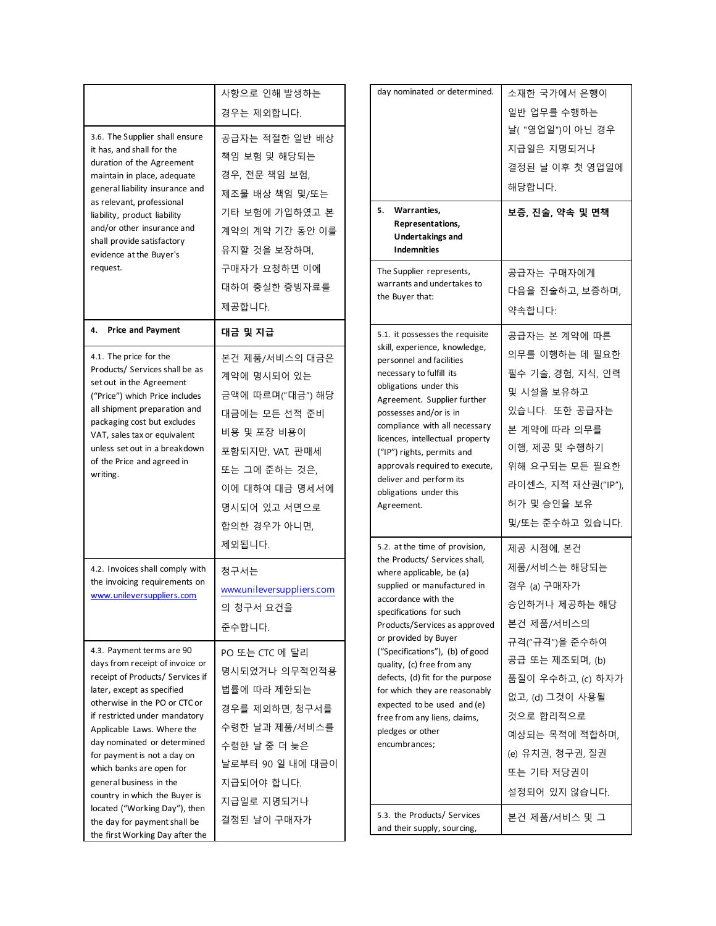| 3.6. The Supplier shall ensure<br>it has, and shall for the<br>duration of the Agreement<br>maintain in place, adequate<br>general liability insurance and<br>as relevant, professional<br>liability, product liability<br>and/or other insurance and<br>shall provide satisfactory<br>evidence at the Buyer's<br>request.                                                                                                                                                               | 사항으로 인해 발생하는<br>경우는 제외합니다.<br>공급자는 적절한 일반 배상<br>책임 보험 및 해당되는<br>경우, 전문 책임 보험,<br>제조물 배상 책임 및/또는<br>기타 보험에 가입하였고 본<br>계약의 계약 기간 동안 이를<br>유지할 것을 보장하며,<br>구매자가 요청하면 이에<br>대하여 충실한 증빙자료를<br>제공합니다. | day nominated<br>Warranti<br>5.<br>Represen<br>Undertak<br>Indemniti<br>The Supplier r<br>warrants and<br>the Buyer that                                                                                                                                                                     |
|------------------------------------------------------------------------------------------------------------------------------------------------------------------------------------------------------------------------------------------------------------------------------------------------------------------------------------------------------------------------------------------------------------------------------------------------------------------------------------------|-------------------------------------------------------------------------------------------------------------------------------------------------------------------------------------------------|----------------------------------------------------------------------------------------------------------------------------------------------------------------------------------------------------------------------------------------------------------------------------------------------|
| 4.<br><b>Price and Payment</b><br>4.1. The price for the<br>Products/ Services shall be as<br>set out in the Agreement<br>("Price") which Price includes<br>all shipment preparation and<br>packaging cost but excludes<br>VAT, sales tax or equivalent<br>unless set out in a breakdown<br>of the Price and agreed in<br>writing.                                                                                                                                                       | 대금 및 지급<br>본건 제품/서비스의 대금은<br>계약에 명시되어 있는<br>금액에 따르며("대금") 해당<br>대금에는 모든 선적 준비<br>비용 및 포장 비용이<br>포함되지만, VAT, 판매세<br>또는 그에 준하는 것은,<br>이에 대하여 대금 명세서에<br>명시되어 있고 서면으로<br>합의한 경우가 아니면,<br>제외됩니다.    | 5.1. it possess<br>skill, experiend<br>personnel and<br>necessary to fi<br>obligations un<br>Agreement. S<br>possesses and<br>compliance wi<br>licences, intelle<br>("IP") rights, p<br>approvals requ<br>deliver and pe<br>obligations un<br>Agreement.<br>5.2. at the tim<br>the Products/ |
| 4.2. Invoices shall comply with<br>the invoicing requirements on<br>www.unileversuppliers.com                                                                                                                                                                                                                                                                                                                                                                                            | 청구서는<br>www.unileversuppliers.com<br>의 청구서 요건을<br>준수합니다.                                                                                                                                        | where applical<br>supplied or ma<br>accordance wi<br>specifications<br>Products/Serv<br>or provided by                                                                                                                                                                                       |
| 4.3. Payment terms are 90<br>days from receipt of invoice or<br>receipt of Products/ Services if<br>later, except as specified<br>otherwise in the PO or CTC or<br>if restricted under mandatory<br>Applicable Laws. Where the<br>day nominated or determined<br>for payment is not a day on<br>which banks are open for<br>general business in the<br>country in which the Buyer is<br>located ("Working Day"), then<br>the day for payment shall be<br>the first Working Day after the | PO 또는 CTC 에 달리<br>명시되었거나 의무적인적용<br>법률에 따라 제한되는<br>경우를 제외하면, 청구서를<br>수령한 날과 제품/서비스를<br>수령한 날 중 더 늦은<br>날로부터 90 일 내에 대금이<br>지급되어야 합니다.<br>지급일로 지명되거나<br>결정된 날이 구매자가                               | ("Specification<br>quality, (c) fre<br>defects, (d) fit<br>for which they<br>expected to be<br>free from any<br>pledges or oth<br>encumbrances<br>5.3. the Produ<br>and their supp                                                                                                           |

| day nominated or determined.<br>5.<br>Warranties,<br>Representations,<br>Undertakings and<br><b>Indemnities</b><br>The Supplier represents,                                                                                                                                                                                                                                                                                                                                     | 소재한 국가에서 은행이<br>일반 업무를 수행하는<br>날( "영업일")이 아닌 경우<br>지급일은 지명되거나<br>결정된 날 이후 첫 영업일에<br>해당합니다.<br>보증, 진술, 약속 및 면책<br>공급자는 구매자에게                                                                                                             |
|---------------------------------------------------------------------------------------------------------------------------------------------------------------------------------------------------------------------------------------------------------------------------------------------------------------------------------------------------------------------------------------------------------------------------------------------------------------------------------|-----------------------------------------------------------------------------------------------------------------------------------------------------------------------------------------------------------------------------------------|
| warrants and undertakes to<br>the Buyer that:                                                                                                                                                                                                                                                                                                                                                                                                                                   | 다음을 진술하고, 보증하며,<br>약속합니다:                                                                                                                                                                                                               |
| 5.1. it possesses the requisite<br>skill, experience, knowledge,<br>personnel and facilities<br>necessary to fulfill its<br>obligations under this<br>Agreement. Supplier further<br>possesses and/or is in<br>compliance with all necessary<br>licences, intellectual property<br>("IP") rights, permits and<br>approvals required to execute,<br>deliver and perform its<br>obligations under this<br>Agreement.                                                              | 공급자는 본 계약에 따른<br>의무를 이행하는 데 필요한<br>필수 기술, 경험, 지식, 인력<br>및 시설을 보유하고<br>있습니다. 또한 공급자는<br>본 계약에 따라 의무를<br>이행, 제공 및 수행하기<br>위해 요구되는 모든 필요한<br>라이센스, 지적 재산권("IP"),<br>허가 및 승인을 보유<br>및/또는 준수하고 있습니다.                                         |
| 5.2. at the time of provision,<br>the Products/ Services shall,<br>where applicable, be (a)<br>supplied or manufactured in<br>accordance with the<br>specifications for such<br>Products/Services as approved<br>or provided by Buyer<br>("Specifications"), (b) of good<br>quality, (c) free from any<br>defects, (d) fit for the purpose<br>for which they are reasonably<br>expected to be used and (e)<br>free from any liens, claims,<br>pledges or other<br>encumbrances; | 제공 시점에, 본건<br>제품/서비스는 해당되는<br>경우 (a) 구매자가<br>승인하거나 제공하는 해당<br>본건 제품/서비스의<br>규격("규격")을 준수하여<br>공급 또는 제조되며, (b)<br>품질이 우수하고, (c) 하자가<br>없고, (d) 그것이 사용될<br>것으로 합리적으로<br>예상되는 목적에 적합하며,<br>(e) 유치권, 청구권, 질권<br>또는 기타 저당권이<br>설정되어 있지 않습니다. |
| 5.3. the Products/ Services<br>and their supply, sourcing,                                                                                                                                                                                                                                                                                                                                                                                                                      | 본건 제품/서비스 및 그                                                                                                                                                                                                                           |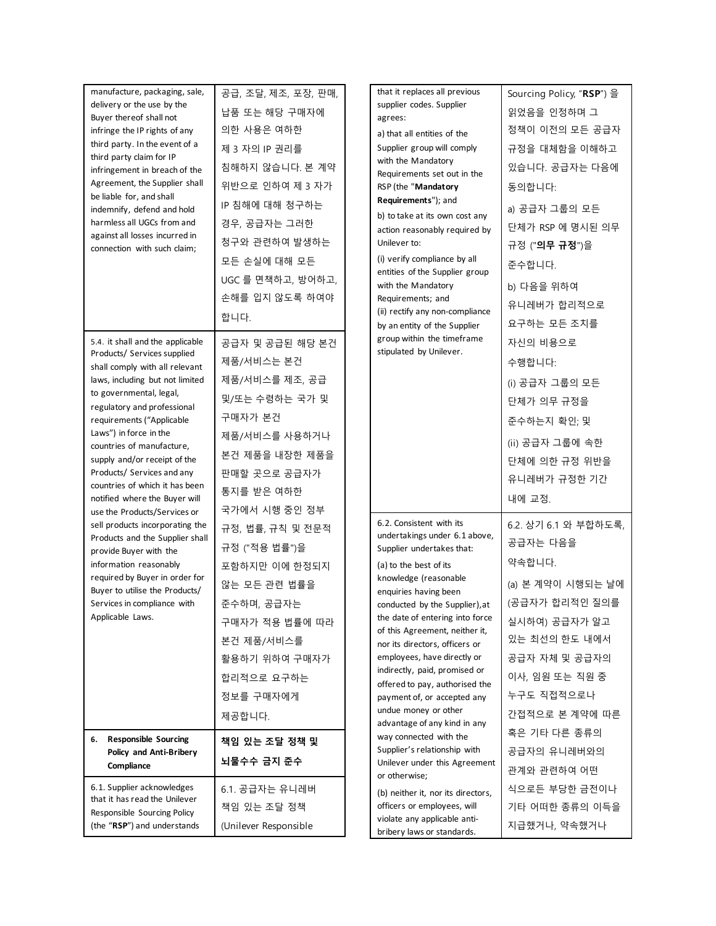| manufacture, packaging, sale,<br>delivery or the use by the<br>Buyer thereof shall not<br>infringe the IP rights of any<br>third party. In the event of a<br>third party claim for IP<br>infringement in breach of the<br>Agreement, the Supplier shall<br>be liable for, and shall<br>indemnify, defend and hold<br>harmless all UGCs from and<br>against all losses incurred in<br>connection with such claim;                                    | 공급, 조달, 제조, 포장, 판매,<br>납품 또는 해당 구매자에<br>의한 사용은 여하한<br>제 3 자의 IP 권리를<br>침해하지 않습니다. 본 계약<br>위반으로 인하여 제 3 자가<br>IP 침해에 대해 청구하는<br>경우, 공급자는 그러한<br>청구와 관련하여 발생하는<br>모든 손실에 대해 모든<br>UGC 를 면책하고, 방어하고,<br>손해를 입지 않도록 하여야<br>합니다. | that it replaces all previous<br>supplier codes. Supplier<br>agrees:<br>a) that all entities of the<br>Supplier group will comply<br>with the Mandatory<br>Requirements set out in the<br>RSP (the "Mandatory<br>Requirements"); and<br>b) to take at its own cost any<br>action reasonably required by<br>Unilever to:<br>(i) verify compliance by all<br>entities of the Supplier group<br>with the Mandatory<br>Requirements; and<br>(ii) rectify any non-compliance<br>by an entity of the Supplier | Sourcing Policy, "RSP") 을<br>읽었음을 인정하며 그<br>정책이 이전의 모든 공급자<br>규정을 대체함을 이해하고<br>있습니다. 공급자는 다음에<br>동의합니다:<br>a) 공급자 그룹의 모든<br>단체가 RSP 에 명시된 의무<br>규정 (" <b>의무 규정</b> ")을<br>준수합니다.<br>b) 다음을 위하여<br>유니레버가 합리적으로<br>요구하는 모든 조치를 |
|-----------------------------------------------------------------------------------------------------------------------------------------------------------------------------------------------------------------------------------------------------------------------------------------------------------------------------------------------------------------------------------------------------------------------------------------------------|-----------------------------------------------------------------------------------------------------------------------------------------------------------------------------------------------------------------------------|---------------------------------------------------------------------------------------------------------------------------------------------------------------------------------------------------------------------------------------------------------------------------------------------------------------------------------------------------------------------------------------------------------------------------------------------------------------------------------------------------------|------------------------------------------------------------------------------------------------------------------------------------------------------------------------------------------------------------------------------|
| 5.4. it shall and the applicable<br>Products/ Services supplied<br>shall comply with all relevant<br>laws, including but not limited<br>to governmental, legal,<br>regulatory and professional<br>requirements ("Applicable<br>Laws") in force in the<br>countries of manufacture,<br>supply and/or receipt of the<br>Products/ Services and any<br>countries of which it has been<br>notified where the Buyer will<br>use the Products/Services or | 공급자 및 공급된 해당 본건<br>제품/서비스는 본건<br>제품/서비스를 제조, 공급<br>및/또는 수령하는 국가 및<br>구매자가 본건<br>제품/서비스를 사용하거나<br>본건 제품을 내장한 제품을<br>판매할 곳으로 공급자가<br>통지를 받은 여하한<br>국가에서 시행 중인 정부                                                              | group within the timeframe<br>stipulated by Unilever.                                                                                                                                                                                                                                                                                                                                                                                                                                                   | 자신의 비용으로<br>수행합니다:<br>(i) 공급자 그룹의 모든<br>단체가 의무 규정을<br>준수하는지 확인; 및<br>(ii) 공급자 그룹에 속한<br>단체에 의한 규정 위반을<br>유니레버가 규정한 기간<br>내에 교정.                                                                                              |
| sell products incorporating the<br>Products and the Supplier shall<br>provide Buyer with the<br>information reasonably<br>required by Buyer in order for<br>Buyer to utilise the Products/<br>Services in compliance with<br>Applicable Laws.                                                                                                                                                                                                       | 규정, 법률, 규칙 및 전문적<br>규정 ("적용 법률")을<br>포함하지만 이에 한정되지<br>않는 모든 관련 법률을<br>준수하며, 공급자는<br>구매자가 적용 법률에 따라<br>본건 제품/서비스를<br>활용하기 위하여 구매자가<br>합리적으로 요구하는<br>정보를 구매자에게<br>제공합니다.                                                      | 6.2. Consistent with its<br>undertakings under 6.1 above,<br>Supplier undertakes that:<br>(a) to the best of its<br>knowledge (reasonable<br>enquiries having been<br>conducted by the Supplier), at<br>the date of entering into force<br>of this Agreement, neither it,<br>nor its directors, officers or<br>employees, have directly or<br>indirectly, paid, promised or<br>offered to pay, authorised the<br>payment of, or accepted any<br>undue money or other<br>advantage of any kind in any    | 6.2. 상기 6.1 와 부합하도록,<br>공급자는 다음을<br>약속합니다.<br>(a) 본 계약이 시행되는 날에<br>(공급자가 합리적인 질의를<br>실시하여) 공급자가 알고<br>있는 최선의 한도 내에서<br>공급자 자체 및 공급자의<br>이사, 임원 또는 직원 중<br>누구도 직접적으로나<br>간접적으로 본 계약에 따른<br>혹은 기타 다른 종류의                       |
| <b>Responsible Sourcing</b><br>6.<br>Policy and Anti-Bribery<br>Compliance                                                                                                                                                                                                                                                                                                                                                                          | 책임 있는 조달 정책 및<br>뇌물수수 금지 준수                                                                                                                                                                                                 | way connected with the<br>Supplier's relationship with<br>Unilever under this Agreement<br>or otherwise;                                                                                                                                                                                                                                                                                                                                                                                                | 공급자의 유니레버와의<br>관계와 관련하여 어떤                                                                                                                                                                                                   |
| 6.1. Supplier acknowledges<br>that it has read the Unilever<br>Responsible Sourcing Policy<br>(the "RSP") and understands                                                                                                                                                                                                                                                                                                                           | 6.1. 공급자는 유니레버<br>책임 있는 조달 정책<br>(Unilever Responsible                                                                                                                                                                      | (b) neither it, nor its directors,<br>officers or employees, will<br>violate any applicable anti-<br>bribery laws or standards.                                                                                                                                                                                                                                                                                                                                                                         | 식으로든 부당한 금전이나<br>기타 어떠한 종류의 이득을<br>지급했거나, 약속했거나                                                                                                                                                                              |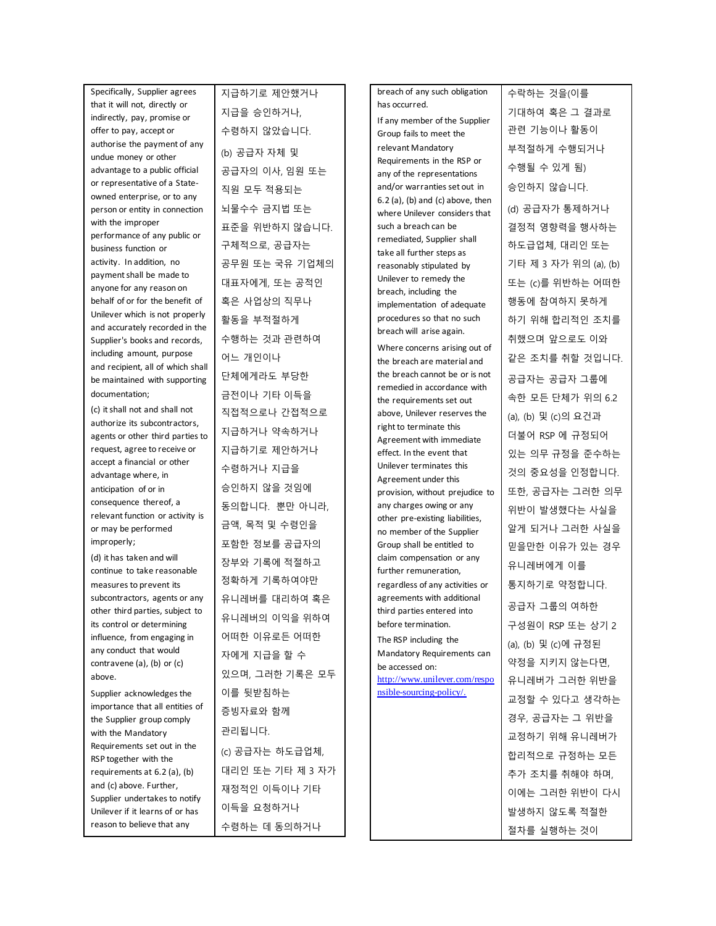Specifically, Supplier agrees that it will not, directly or indirectly, pay, promise or offer to pay, accept or authorise the payment of any undue money or other advantage to a public official or representative of a Stateowned enterprise, or to any person or entity in connection with the improper performance of any public or business function or activity. In addition, no payment shall be made to anyone for any reason on behalf of or for the benefit of Unilever which is not properly and accurately recorded in the Supplier's books and records, including amount, purpose and recipient, all of which shall be maintained with supporting documentation; (c) it shall not and shall not authorize its subcontractors,

agents or other third parties to request, agree to receive or accept a financial or other advantage where, in anticipation of or in consequence thereof, a relevant function or activity is or may be performed improperly;

(d) it has taken and will continue to take reasonable measures to prevent its subcontractors, agents or any other third parties, subject to its control or determining influence, from engaging in any conduct that would contravene (a), (b) or (c) above.

Supplier acknowledges the importance that all entities of the Supplier group comply with the Mandatory Requirements set out in the RSP together with the requirements at 6.2 (a), (b) and (c) above. Further, Supplier undertakes to notify Unilever if it learns of or has reason to believe that any

지급하기로 제안했거나 지급을 승인하거나, 수령하지 않았습니다. (b) 공급자 자체 및 공급자의 이사, 임원 또는 직원 모두 적용되는 뇌물수수 금지법 또는 표준을 위반하지 않습니다. 구체적으로, 공급자는 공무원 또는 국유 기업체의 대표자에게, 또는 공적인 혹은 사업상의 직무나 활동을 부적절하게 수행하는 것과 관련하여 어느 개인이나 단체에게라도 부당한 금전이나 기타 이득을 직접적으로나 간접적으로 지급하거나 약속하거나 지급하기로 제안하거나 수령하거나 지급을 승인하지 않을 것임에 동의합니다. 뿐만 아니라, 금액, 목적 및 수령인을 포함한 정보를 공급자의 장부와 기록에 적절하고 정확하게 기록하여야만 유니레버를 대리하여 혹은 유니레버의 이익을 위하여 어떠한 이유로든 어떠한 자에게 지급을 할 수 있으며, 그러한 기록은 모두 이를 뒷받침하는 증빙자료와 함께 관리됩니다. (c) 공급자는 하도급업체, 대리인 또는 기타 제 3 자가 재정적인 이득이나 기타 이득을 요청하거나 수령하는 데 동의하거나

breach of any such obligation has occurred. If any member of the Supplier Group fails to meet the relevant Mandatory Requirements in the RSP or any of the representations and/or warranties set out in 6.2 (a), (b) and (c) above, then where Unilever considers that such a breach can be remediated, Supplier shall take all further steps as reasonably stipulated by Unilever to remedy the breach, including the implementation of adequate procedures so that no such breach will arise again. Where concerns arising out of the breach are material and the breach cannot be or is not remedied in accordance with the requirements set out above, Unilever reserves the right to terminate this Agreement with immediate effect. In the event that Unilever terminates this Agreement under this provision, without prejudice to any charges owing or any other pre-existing liabilities, no member of the Supplier Group shall be entitled to claim compensation or any further remuneration, regardless of any activities or agreements with additional third parties entered into before termination. The RSP including the Mandatory Requirements can be accessed on: [http://www.unilever.com/respo](http://www.unilever.com/responsible-sourcing-policy/) [nsible-sourcing-policy/](http://www.unilever.com/responsible-sourcing-policy/).

수락하는 것을(이를 기대하여 혹은 그 결과로 관련 기능이나 활동이 부적절하게 수행되거나 수행될 수 있게 됨) 승인하지 않습니다. (d) 공급자가 통제하거나 결정적 영향력을 행사하는 하도급업체, 대리인 또는 기타 제 3 자가 위의 (a), (b) 또는 (c)를 위반하는 어떠한 행동에 참여하지 못하게 하기 위해 합리적인 조치를 취했으며 앞으로도 이와 같은 조치를 취할 것입니다. 공급자는 공급자 그룹에 속한 모든 단체가 위의 6.2 (a), (b) 및 (c)의 요건과 더불어 RSP 에 규정되어 있는 의무 규정을 준수하는 것의 중요성을 인정합니다. 또한, 공급자는 그러한 의무 위반이 발생했다는 사실을 알게 되거나 그러한 사실을 믿을만한 이유가 있는 경우 유니레버에게 이를 통지하기로 약정합니다. 공급자 그룹의 여하한 구성원이 RSP 또는 상기 2 (a), (b) 및 (c)에 규정된 약정을 지키지 않는다면, 유니레버가 그러한 위반을 교정할 수 있다고 생각하는 경우, 공급자는 그 위반을 교정하기 위해 유니레버가 합리적으로 규정하는 모든 추가 조치를 취해야 하며, 이에는 그러한 위반이 다시 발생하지 않도록 적절한 절차를 실행하는 것이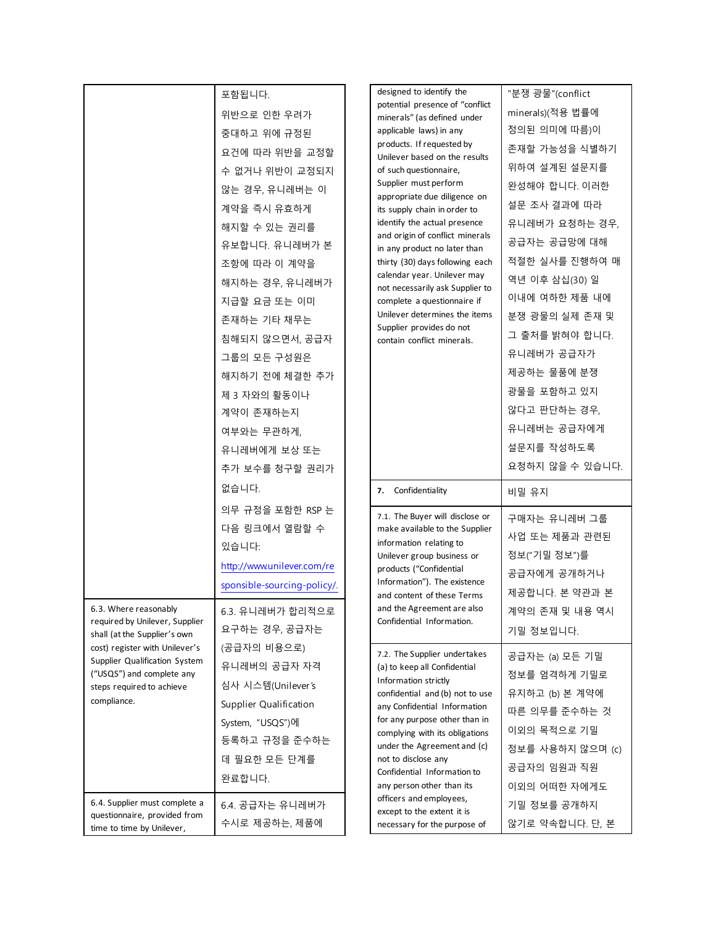|                                                                                                                                          | 포함됩니다.<br>위반으로 인한 우려가<br>중대하고 위에 규정된<br>요건에 따라 위반을 교정할<br>수 없거나 위반이 교정되지<br>않는 경우, 유니레버는 이<br>계약을 즉시 유효하게<br>해지할 수 있는 권리를<br>유보합니다. 유니레버가 본<br>조항에 따라 이 계약을<br>해지하는 경우, 유니레버가<br>지급할 요금 또는 이미<br>존재하는 기타 채무는<br>침해되지 않으면서, 공급자<br>그룹의 모든 구성원은<br>해지하기 전에 체결한 추가<br>제 3 자와의 활동이나<br>계약이 존재하는지<br>여부와는 무관하게,<br>유니레버에게 보상 또는<br>추가 보수를 청구할 권리가 | designed to identify the<br>potential presence of "conflict<br>minerals" (as defined under<br>applicable laws) in any<br>products. If requested by<br>Unilever based on the results<br>of such questionnaire,<br>Supplier must perform<br>appropriate due diligence on<br>its supply chain in order to<br>identify the actual presence<br>and origin of conflict minerals<br>in any product no later than<br>thirty (30) days following each<br>calendar year. Unilever may<br>not necessarily ask Supplier to<br>complete a questionnaire if<br>Unilever determines the items<br>Supplier provides do not<br>contain conflict minerals. | "분쟁 광물"(conflict<br>minerals)(적용 법률에<br>정의된 의미에 따름)이<br>존재할 가능성을 식별하기<br>위하여 설계된 설문지를<br>완성해야 합니다. 이러한<br>설문 조사 결과에 따라<br>유니레버가 요청하는 경우,<br>공급자는 공급망에 대해<br>적절한 실사를 진행하여 매<br>역년 이후 삼십(30) 일<br>이내에 여하한 제품 내에<br>분쟁 광물의 실제 존재 및<br>그 출처를 밝혀야 합니다.<br>유니레버가 공급자가<br>제공하는 물품에 분쟁<br>광물을 포함하고 있지<br>않다고 판단하는 경우,<br>유니레버는 공급자에게<br>설문지를 작성하도록<br>요청하지 않을 수 있습니다. |
|------------------------------------------------------------------------------------------------------------------------------------------|----------------------------------------------------------------------------------------------------------------------------------------------------------------------------------------------------------------------------------------------------------------------------------------------------------------------------------------------|------------------------------------------------------------------------------------------------------------------------------------------------------------------------------------------------------------------------------------------------------------------------------------------------------------------------------------------------------------------------------------------------------------------------------------------------------------------------------------------------------------------------------------------------------------------------------------------------------------------------------------------|---------------------------------------------------------------------------------------------------------------------------------------------------------------------------------------------------------------------------------------------------------------------------------------------------------------------------------------------------------------|
|                                                                                                                                          | 없습니다.<br>의무 규정을 포함한 RSP 는<br>다음 링크에서 열람할 수<br>있습니다:<br>http://www.unilever.com/re<br>sponsible-sourcing-policy/.                                                                                                                                                                                                                             | Confidentiality<br>7.<br>7.1. The Buyer will disclose or<br>make available to the Supplier<br>information relating to<br>Unilever group business or<br>products ("Confidential<br>Information"). The existence<br>and content of these Terms                                                                                                                                                                                                                                                                                                                                                                                             | 비밀 유지<br>구매자는 유니레버 그룹<br>사업 또는 제품과 관련된<br>정보("기밀 정보")를<br>공급자에게 공개하거나<br>제공합니다. 본 약관과 본                                                                                                                                                                                                                                                                       |
| 6.3. Where reasonably<br>required by Unilever, Supplier<br>shall (at the Supplier's own                                                  | 6.3. 유니레버가 합리적으로<br>요구하는 경우, 공급자는                                                                                                                                                                                                                                                                                                            | and the Agreement are also<br>Confidential Information.                                                                                                                                                                                                                                                                                                                                                                                                                                                                                                                                                                                  | 계약의 존재 및 내용 역시<br>기밀 정보입니다.                                                                                                                                                                                                                                                                                                                                   |
| cost) register with Unilever's<br>Supplier Qualification System<br>("USQS") and complete any<br>steps required to achieve<br>compliance. | (공급자의 비용으로)<br>유니레버의 공급자 자격<br>심사 시스템(Unilever's<br>Supplier Qualification<br>System, "USQS")에<br>등록하고 규정을 준수하는<br>데 필요한 모든 단계를<br>완료합니다.                                                                                                                                                                                                    | 7.2. The Supplier undertakes<br>(a) to keep all Confidential<br>Information strictly<br>confidential and (b) not to use<br>any Confidential Information<br>for any purpose other than in<br>complying with its obligations<br>under the Agreement and (c)<br>not to disclose any<br>Confidential Information to<br>any person other than its                                                                                                                                                                                                                                                                                             | 공급자는 (a) 모든 기밀<br>정보를 엄격하게 기밀로<br>유지하고 (b) 본 계약에<br>따른 의무를 준수하는 것<br>이외의 목적으로 기밀<br>정보를 사용하지 않으며 (c)<br>공급자의 임원과 직원<br>이외의 어떠한 자에게도                                                                                                                                                                                                                           |
| 6.4. Supplier must complete a<br>questionnaire, provided from<br>time to time by Unilever,                                               | 6.4. 공급자는 유니레버가<br>수시로 제공하는, 제품에                                                                                                                                                                                                                                                                                                             | officers and employees,<br>except to the extent it is<br>necessary for the purpose of                                                                                                                                                                                                                                                                                                                                                                                                                                                                                                                                                    | 기밀 정보를 공개하지<br>않기로 약속합니다. 단, 본                                                                                                                                                                                                                                                                                                                                |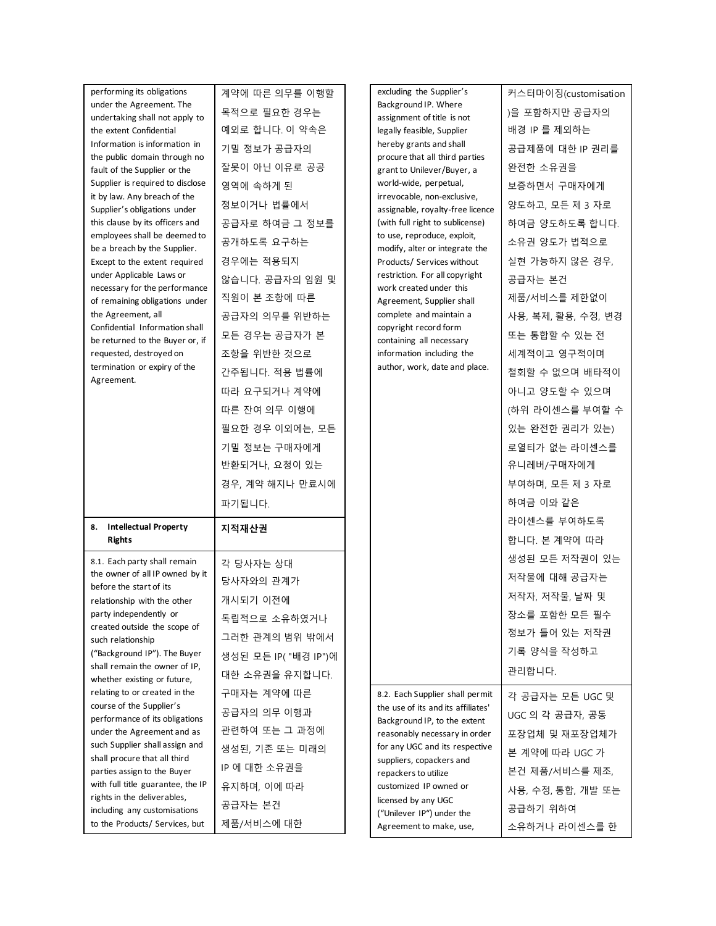| performing its obligations<br>under the Agreement. The<br>undertaking shall not apply to | 계약에 따른 의무를 이행할<br>목적으로 필요한 경우는 | excluding the Supplier's<br>Background IP. Where<br>assignment of title is not | 커스터마이징(customisation<br>)을 포함하지만 공급자의 |
|------------------------------------------------------------------------------------------|--------------------------------|--------------------------------------------------------------------------------|---------------------------------------|
| the extent Confidential                                                                  | 예외로 합니다. 이 약속은                 | legally feasible, Supplier                                                     | 배경 IP 를 제외하는                          |
| Information is information in                                                            | 기밀 정보가 공급자의                    | hereby grants and shall                                                        | 공급제품에 대한 IP 권리를                       |
| the public domain through no<br>fault of the Supplier or the                             | 잘못이 아닌 이유로 공공                  | procure that all third parties<br>grant to Unilever/Buyer, a                   | 완전한 소유권을                              |
| Supplier is required to disclose                                                         | 영역에 속하게 된                      | world-wide, perpetual,                                                         | 보증하면서 구매자에게                           |
| it by law. Any breach of the<br>Supplier's obligations under                             | 정보이거나 법률에서                     | irrevocable, non-exclusive,<br>assignable, royalty-free licence                | 양도하고, 모든 제 3 자로                       |
| this clause by its officers and                                                          | 공급자로 하여금 그 정보를                 | (with full right to sublicense)                                                | 하여금 양도하도록 합니다.                        |
| employees shall be deemed to<br>be a breach by the Supplier.                             | 공개하도록 요구하는                     | to use, reproduce, exploit,<br>modify, alter or integrate the                  | 소유권 양도가 법적으로                          |
| Except to the extent required                                                            | 경우에는 적용되지                      | Products/ Services without                                                     | 실현 가능하지 않은 경우,                        |
| under Applicable Laws or<br>necessary for the performance                                | 않습니다. 공급자의 임원 및                | restriction. For all copyright<br>work created under this                      | 공급자는 본건                               |
| of remaining obligations under                                                           | 직원이 본 조항에 따른                   | Agreement, Supplier shall                                                      | 제품/서비스를 제한없이                          |
| the Agreement, all                                                                       | 공급자의 의무를 위반하는                  | complete and maintain a                                                        | 사용, 복제, 활용, 수정, 변경                    |
| Confidential Information shall<br>be returned to the Buyer or, if                        | 모든 경우는 공급자가 본                  | copyright record form<br>containing all necessary                              | 또는 통합할 수 있는 전                         |
| requested, destroyed on                                                                  | 조항을 위반한 것으로                    | information including the                                                      | 세계적이고 영구적이며                           |
| termination or expiry of the<br>Agreement.                                               | 간주됩니다. 적용 법률에                  | author, work, date and place.                                                  | 철회할 수 없으며 배타적이                        |
|                                                                                          | 따라 요구되거나 계약에                   |                                                                                | 아니고 양도할 수 있으며                         |
|                                                                                          | 따른 잔여 의무 이행에                   |                                                                                | (하위 라이센스를 부여할 수                       |
|                                                                                          | 필요한 경우 이외에는, 모든                |                                                                                | 있는 완전한 권리가 있는)                        |
|                                                                                          | 기밀 정보는 구매자에게                   |                                                                                | 로열티가 없는 라이센스를                         |
|                                                                                          | 반환되거나, 요청이 있는                  |                                                                                | 유니레버/구매자에게                            |
|                                                                                          |                                |                                                                                |                                       |
|                                                                                          | 경우, 계약 해지나 만료시에                |                                                                                | 부여하며, 모든 제 3 자로                       |
|                                                                                          | 파기됩니다.                         |                                                                                | 하여금 이와 같은                             |
| <b>Intellectual Property</b><br>8.                                                       |                                |                                                                                | 라이센스를 부여하도록                           |
| <b>Rights</b>                                                                            | 지적재산권                          |                                                                                | 합니다. 본 계약에 따라                         |
| 8.1. Each party shall remain                                                             | 각 당사자는 상대                      |                                                                                | 생성된 모든 저작권이 있는                        |
| the owner of all IP owned by it                                                          | 당사자와의 관계가                      |                                                                                | 저작물에 대해 공급자는                          |
| before the start of its<br>relationship with the other                                   | 개시되기 이전에                       |                                                                                | 저작자, 저작물, 날짜 및                        |
| party independently or                                                                   | 독립적으로 소유하였거나                   |                                                                                | 장소를 포함한 모든 필수                         |
| created outside the scope of<br>such relationship                                        | 그러한 관계의 범위 밖에서                 |                                                                                | 정보가 들어 있는 저작권                         |
| ("Background IP"). The Buyer                                                             | 생성된 모든 IP( "배경 IP")에           |                                                                                | 기록 양식을 작성하고                           |
| shall remain the owner of IP,                                                            | 대한 소유권을 유지합니다.                 |                                                                                | 관리합니다.                                |
| whether existing or future,<br>relating to or created in the                             | 구매자는 계약에 따른                    | 8.2. Each Supplier shall permit                                                | 각 공급자는 모든 UGC 및                       |
| course of the Supplier's                                                                 | 공급자의 의무 이행과                    | the use of its and its affiliates'                                             | UGC 의 각 공급자, 공동                       |
| performance of its obligations<br>under the Agreement and as                             | 관련하여 또는 그 과정에                  | Background IP, to the extent<br>reasonably necessary in order                  | 포장업체 및 재포장업체가                         |
| such Supplier shall assign and                                                           | 생성된, 기존 또는 미래의                 | for any UGC and its respective                                                 | 본 계약에 따라 UGC 가                        |
| shall procure that all third<br>parties assign to the Buyer                              | IP 에 대한 소유권을                   | suppliers, copackers and<br>repackers to utilize                               | 본건 제품/서비스를 제조,                        |
| with full title guarantee, the IP                                                        | 유지하며, 이에 따라                    | customized IP owned or                                                         | 사용, 수정, 통합, 개발 또는                     |
| rights in the deliverables,<br>including any customisations                              | 공급자는 본건                        | licensed by any UGC<br>("Unilever IP") under the                               | 공급하기 위하여                              |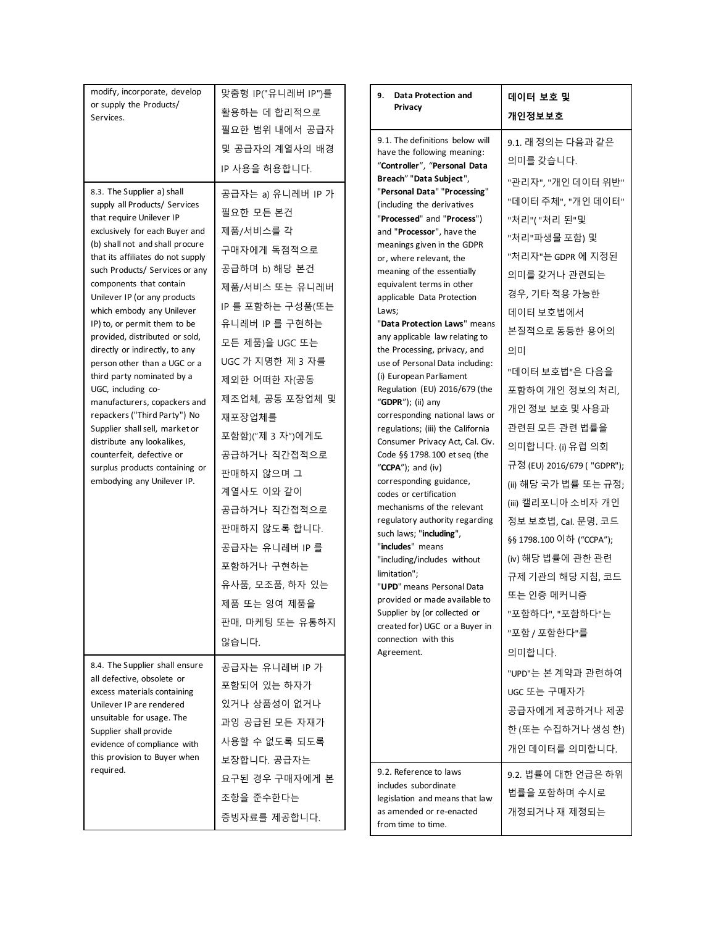| modify, incorporate, develop<br>or supply the Products/<br>Services.                                                                                                                                                                                                                                                                                                                                                                                                                                                                                                                                                                                                                                                                             | 맞춤형 IP("유니레버 IP")를<br>활용하는 데 합리적으로                                                                                                                                                                                                                                                                                                                                                                           | 9. Data Protection and<br>Privacy                                                                                                                                                                                                                                                                                                                                                                                                                                                                                                                                                                                                                                                                                                                                                                                                                                                                                                                                                                                                  | 데이터 보호 및<br>개인정보보호                                                                                                                                                                                                                                                                                                                                                                                                                                     |
|--------------------------------------------------------------------------------------------------------------------------------------------------------------------------------------------------------------------------------------------------------------------------------------------------------------------------------------------------------------------------------------------------------------------------------------------------------------------------------------------------------------------------------------------------------------------------------------------------------------------------------------------------------------------------------------------------------------------------------------------------|--------------------------------------------------------------------------------------------------------------------------------------------------------------------------------------------------------------------------------------------------------------------------------------------------------------------------------------------------------------------------------------------------------------|------------------------------------------------------------------------------------------------------------------------------------------------------------------------------------------------------------------------------------------------------------------------------------------------------------------------------------------------------------------------------------------------------------------------------------------------------------------------------------------------------------------------------------------------------------------------------------------------------------------------------------------------------------------------------------------------------------------------------------------------------------------------------------------------------------------------------------------------------------------------------------------------------------------------------------------------------------------------------------------------------------------------------------|--------------------------------------------------------------------------------------------------------------------------------------------------------------------------------------------------------------------------------------------------------------------------------------------------------------------------------------------------------------------------------------------------------------------------------------------------------|
| 8.3. The Supplier a) shall<br>supply all Products/ Services<br>that require Unilever IP<br>exclusively for each Buyer and<br>(b) shall not and shall procure<br>that its affiliates do not supply<br>such Products/ Services or any<br>components that contain<br>Unilever IP (or any products<br>which embody any Unilever<br>IP) to, or permit them to be<br>provided, distributed or sold,<br>directly or indirectly, to any<br>person other than a UGC or a<br>third party nominated by a<br>UGC, including co-<br>manufacturers, copackers and<br>repackers ("Third Party") No<br>Supplier shall sell, market or<br>distribute any lookalikes,<br>counterfeit, defective or<br>surplus products containing or<br>embodying any Unilever IP. | 필요한 범위 내에서 공급자<br>및 공급자의 계열사의 배경<br>IP 사용을 허용합니다.<br>공급자는 a) 유니레버 IP 가<br>필요한 모든 본건<br>제품/서비스를 각<br>구매자에게 독점적으로<br>공급하며 b) 해당 본건<br>제품/서비스 또는 유니레버<br>IP 를 포함하는 구성품(또는<br>유니레버 IP 를 구현하는<br>모든 제품)을 UGC 또는<br>UGC 가 지명한 제 3 자를<br>제외한 어떠한 자(공동<br>제조업체, 공동 포장업체 및<br>재포장업체를<br>포함함)("제 3 자")에게도<br>공급하거나 직간접적으로<br>판매하지 않으며 그<br>계열사도 이와 같이<br>공급하거나 직간접적으로<br>판매하지 않도록 합니다.<br>공급자는 유니레버 IP 를<br>포함하거나 구현하는 | 9.1. The definitions below will<br>have the following meaning:<br>"Controller", "Personal Data<br>Breach" "Data Subject",<br>"Personal Data" "Processing"<br>(including the derivatives<br>"Processed" and "Process")<br>and "Processor", have the<br>meanings given in the GDPR<br>or, where relevant, the<br>meaning of the essentially<br>equivalent terms in other<br>applicable Data Protection<br>Laws;<br>"Data Protection Laws" means<br>any applicable law relating to<br>the Processing, privacy, and<br>use of Personal Data including:<br>(i) European Parliament<br>Regulation (EU) 2016/679 (the<br>" <b>GDPR</b> "); (ii) any<br>corresponding national laws or<br>regulations; (iii) the California<br>Consumer Privacy Act, Cal. Civ.<br>Code §§ 1798.100 et seq (the<br>" $CCPA"$ ); and (iv)<br>corresponding guidance,<br>codes or certification<br>mechanisms of the relevant<br>regulatory authority regarding<br>such laws; "including",<br>"includes" means<br>"including/includes without<br>limitation"; | 9.1. 래 정의는 다음과 같은<br>의미를 갖습니다.<br>"관리자", "개인 데이터 위반"<br>"데이터 주체", "개인 데이터"<br>"처리"("처리 된"및<br>"처리"파생물 포함) 및<br>"처리자"는 GDPR 에 지정된<br>의미를 갖거나 관련되는<br>경우, 기타 적용 가능한<br>데이터 보호법에서<br>본질적으로 동등한 용어의<br>의미<br>"데이터 보호법"은 다음을<br>포함하여 개인 정보의 처리,<br>개인 정보 보호 및 사용과<br>관련된 모든 관련 법률을<br>의미합니다. (i) 유럽 의회<br>규정 (EU) 2016/679 ( "GDPR");<br>(ii) 해당 국가 법률 또는 규정;<br>(iii) 캘리포니아 소비자 개인<br>정보 보호법, Cal. 문명. 코드<br>§§ 1798.100 이하 ("CCPA");<br>(iv) 해당 법률에 관한 관련 |
|                                                                                                                                                                                                                                                                                                                                                                                                                                                                                                                                                                                                                                                                                                                                                  | 유사품, 모조품, 하자 있는<br>제품 또는 잉여 제품을<br>판매, 마케팅 또는 유통하지<br>않습니다.                                                                                                                                                                                                                                                                                                                                                  | "UPD" means Personal Data<br>provided or made available to<br>Supplier by (or collected or<br>created for) UGC or a Buyer in<br>connection with this<br>Agreement.                                                                                                                                                                                                                                                                                                                                                                                                                                                                                                                                                                                                                                                                                                                                                                                                                                                                 | 규제 기관의 해당 지침, 코드<br>또는 인증 메커니즘<br>"포함하다", "포함하다"는<br>"포함 / 포함한다"를<br>의미합니다.                                                                                                                                                                                                                                                                                                                                                                            |
| 8.4. The Supplier shall ensure<br>all defective, obsolete or<br>excess materials containing<br>Unilever IP are rendered<br>unsuitable for usage. The<br>Supplier shall provide<br>evidence of compliance with<br>this provision to Buyer when                                                                                                                                                                                                                                                                                                                                                                                                                                                                                                    | 공급자는 유니레버 IP 가<br>포함되어 있는 하자가<br>있거나 상품성이 없거나<br>과잉 공급된 모든 자재가<br>사용할 수 없도록 되도록<br>보장합니다. 공급자는                                                                                                                                                                                                                                                                                                               |                                                                                                                                                                                                                                                                                                                                                                                                                                                                                                                                                                                                                                                                                                                                                                                                                                                                                                                                                                                                                                    | "UPD"는 본 계약과 관련하여<br>UGC 또는 구매자가<br>공급자에게 제공하거나 제공<br>한 (또는 수집하거나 생성 한)<br>개인 데이터를 의미합니다.                                                                                                                                                                                                                                                                                                                                                              |
| required.                                                                                                                                                                                                                                                                                                                                                                                                                                                                                                                                                                                                                                                                                                                                        | 요구된 경우 구매자에게 본<br>조항을 준수한다는<br>증빙자료를 제공합니다.                                                                                                                                                                                                                                                                                                                                                                  | 9.2. Reference to laws<br>includes subordinate<br>legislation and means that law<br>as amended or re-enacted<br>from time to time.                                                                                                                                                                                                                                                                                                                                                                                                                                                                                                                                                                                                                                                                                                                                                                                                                                                                                                 | 9.2. 법률에 대한 언급은 하위<br>법률을 포함하며 수시로<br>개정되거나 재 제정되는                                                                                                                                                                                                                                                                                                                                                                                                     |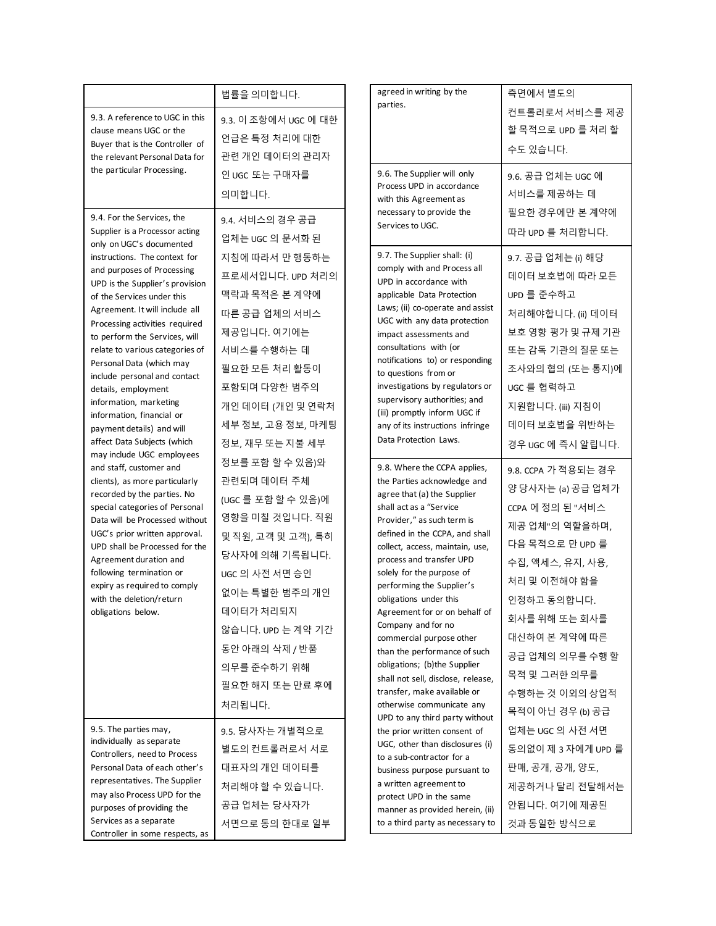|                                                                                     | 법률을 의미합니다.           |  | agreed in writing by the                                                                                                                                                                                                 | 측면에서 별도의            |
|-------------------------------------------------------------------------------------|----------------------|--|--------------------------------------------------------------------------------------------------------------------------------------------------------------------------------------------------------------------------|---------------------|
| 9.3. A reference to UGC in this                                                     | 9.3. 이 조항에서 UGC 에 대한 |  | parties.                                                                                                                                                                                                                 | 컨트롤러로서 서비스를 제공      |
| clause means UGC or the                                                             | 언급은 특정 처리에 대한        |  |                                                                                                                                                                                                                          | 할 목적으로 UPD 를 처리 할   |
| Buyer that is the Controller of<br>관련 개인 데이터의 관리자<br>the relevant Personal Data for |                      |  | 수도 있습니다.                                                                                                                                                                                                                 |                     |
| the particular Processing.                                                          |                      |  | 9.6. The Supplier will only                                                                                                                                                                                              |                     |
|                                                                                     | 인 UGC 또는 구매자를        |  | Process UPD in accordance                                                                                                                                                                                                | 9.6. 공급 업체는 UGC 에   |
|                                                                                     | 의미합니다.               |  | with this Agreement as                                                                                                                                                                                                   | 서비스를 제공하는 데         |
| 9.4. For the Services, the                                                          | 9.4. 서비스의 경우 공급      |  | necessary to provide the<br>Services to UGC.                                                                                                                                                                             | 필요한 경우에만 본 계약에      |
| Supplier is a Processor acting<br>only on UGC's documented                          | 업체는 UGC 의 문서화 된      |  |                                                                                                                                                                                                                          | 따라 UPD 를 처리합니다.     |
| instructions. The context for                                                       | 지침에 따라서 만 행동하는       |  | 9.7. The Supplier shall: (i)                                                                                                                                                                                             | 9.7. 공급 업체는 (i) 해당  |
| and purposes of Processing                                                          | 프로세서입니다. UPD 처리의     |  | comply with and Process all                                                                                                                                                                                              | 데이터 보호법에 따라 모든      |
| UPD is the Supplier's provision<br>of the Services under this                       | 맥락과 목적은 본 계약에        |  | UPD in accordance with<br>applicable Data Protection                                                                                                                                                                     | UPD 를 준수하고          |
| Agreement. It will include all                                                      | 따른 공급 업체의 서비스        |  | Laws; (ii) co-operate and assist                                                                                                                                                                                         | 처리해야합니다. (ii) 데이터   |
| Processing activities required                                                      | 제공입니다. 여기에는          |  | UGC with any data protection                                                                                                                                                                                             | 보호 영향 평가 및 규제 기관    |
| to perform the Services, will<br>relate to various categories of                    | 서비스를 수행하는 데          |  | impact assessments and<br>consultations with (or                                                                                                                                                                         | 또는 감독 기관의 질문 또는     |
| Personal Data (which may                                                            | 필요한 모든 처리 활동이        |  | notifications to) or responding                                                                                                                                                                                          | 조사와의 협의 (또는 통지)에    |
| include personal and contact                                                        |                      |  | to questions from or<br>investigations by regulators or                                                                                                                                                                  |                     |
| details, employment<br>information, marketing                                       | 포함되며 다양한 범주의         |  | supervisory authorities; and                                                                                                                                                                                             | UGC 를 협력하고          |
| information, financial or                                                           | 개인 데이터 (개인 및 연락처     |  | (iii) promptly inform UGC if                                                                                                                                                                                             | 지원합니다. (iii) 지침이    |
| payment details) and will                                                           | 세부 정보, 고용 정보, 마케팅    |  | any of its instructions infringe<br>Data Protection Laws.                                                                                                                                                                | 데이터 보호법을 위반하는       |
| affect Data Subjects (which<br>may include UGC employees                            | 정보, 재무 또는 지불 세부      |  |                                                                                                                                                                                                                          | 경우 UGC 에 즉시 알립니다.   |
| and staff, customer and                                                             | 정보를 포함 할 수 있음)와      |  | 9.8. Where the CCPA applies,<br>the Parties acknowledge and<br>agree that (a) the Supplier<br>shall act as a "Service<br>Provider," as such term is<br>defined in the CCPA, and shall<br>collect, access, maintain, use, | 9.8. CCPA 가 적용되는 경우 |
| clients), as more particularly<br>recorded by the parties. No                       | 관련되며 데이터 주체          |  |                                                                                                                                                                                                                          | 양 당사자는 (a) 공급 업체가   |
| special categories of Personal                                                      | (UGC 를 포함 할 수 있음)에   |  |                                                                                                                                                                                                                          | CCPA 에 정의 된 "서비스    |
| Data will be Processed without                                                      | 영향을 미칠 것입니다. 직원      |  |                                                                                                                                                                                                                          | 제공 업체"의 역할을하며,      |
| UGC's prior written approval.<br>UPD shall be Processed for the                     | 및 직원, 고객 및 고객), 특히   |  |                                                                                                                                                                                                                          | 다음 목적으로 만 UPD 를     |
| Agreement duration and                                                              | 당사자에 의해 기록됩니다.       |  | process and transfer UPD                                                                                                                                                                                                 | 수집, 액세스, 유지, 사용,    |
| following termination or<br>expiry as required to comply                            | UGC 의 사전 서면 승인       |  | solely for the purpose of<br>performing the Supplier's                                                                                                                                                                   | 처리 및 이전해야 함을        |
| with the deletion/return                                                            | 없이는 특별한 범주의 개인       |  | obligations under this                                                                                                                                                                                                   | 인정하고 동의합니다.         |
| obligations below.                                                                  | 데이터가 처리되지            |  | Agreement for or on behalf of                                                                                                                                                                                            | 회사를 위해 또는 회사를       |
|                                                                                     | 않습니다. UPD 는 계약 기간    |  | Company and for no<br>commercial purpose other                                                                                                                                                                           | 대신하여 본 계약에 따른       |
|                                                                                     | 동안 아래의 삭제 / 반품       |  | than the performance of such                                                                                                                                                                                             | 공급 업체의 의무를 수행 할     |
|                                                                                     | 의무를 준수하기 위해          |  | obligations; (b)the Supplier                                                                                                                                                                                             | 목적 및 그러한 의무를        |
|                                                                                     | 필요한 해지 또는 만료 후에      |  | shall not sell, disclose, release,<br>transfer, make available or                                                                                                                                                        | 수행하는 것 이외의 상업적      |
|                                                                                     | 처리됩니다.               |  | otherwise communicate any                                                                                                                                                                                                | 목적이 아닌 경우 (b) 공급    |
| 9.5. The parties may,                                                               |                      |  | UPD to any third party without                                                                                                                                                                                           | 업체는 UGC 의 사전 서면     |
| individually as separate                                                            | 9.5. 당사자는 개별적으로      |  | the prior written consent of<br>UGC, other than disclosures (i)                                                                                                                                                          |                     |
| Controllers, need to Process                                                        | 별도의 컨트롤러로서 서로        |  | to a sub-contractor for a                                                                                                                                                                                                | 동의없이 제 3 자에게 UPD 를  |
| Personal Data of each other's<br>representatives. The Supplier                      | 대표자의 개인 데이터를         |  | business purpose pursuant to                                                                                                                                                                                             | 판매, 공개, 공개, 양도,     |
| may also Process UPD for the                                                        | 처리해야 할 수 있습니다.       |  | a written agreement to<br>protect UPD in the same                                                                                                                                                                        | 제공하거나 달리 전달해서는      |
| purposes of providing the                                                           | 공급 업체는 당사자가          |  | manner as provided herein, (ii)                                                                                                                                                                                          | 안됩니다. 여기에 제공된       |
| Services as a separate<br>Controller in some respects, as                           | 서면으로 동의 한대로 일부       |  | to a third party as necessary to                                                                                                                                                                                         | 것과 동일한 방식으로         |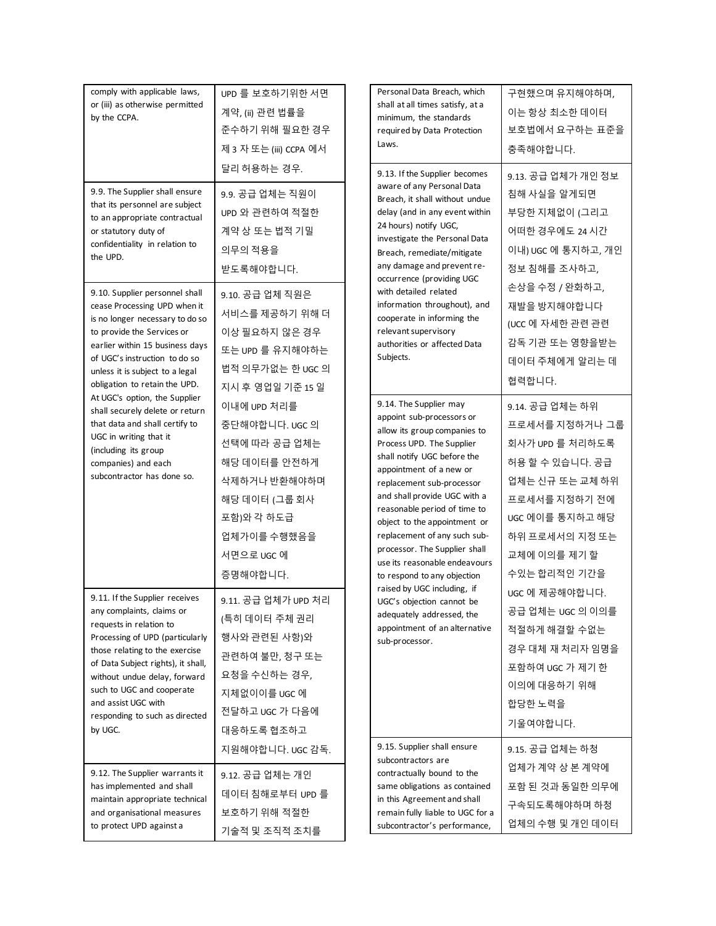| comply with applicable laws,<br>or (iii) as otherwise permitted<br>by the CCPA.                                                                                                                                                                                                                                                    | UPD 를 보호하기위한 서면<br>계약, (ii) 관련 법률을<br>준수하기 위해 필요한 경우<br>제 3 자 또는 (iii) CCPA 에서                                                                         | Personal Data Breach, which<br>shall at all times satisfy, at a<br>minimum, the standards<br>required by Data Protection<br>Laws.                                                                                                                                                                                                                                                                                                        | 구현했으며 유지해야하며,<br>이는 항상 최소한 데이터<br>보호법에서 요구하는 표준을<br>충족해야합니다.                                                                                                                    |
|------------------------------------------------------------------------------------------------------------------------------------------------------------------------------------------------------------------------------------------------------------------------------------------------------------------------------------|--------------------------------------------------------------------------------------------------------------------------------------------------------|------------------------------------------------------------------------------------------------------------------------------------------------------------------------------------------------------------------------------------------------------------------------------------------------------------------------------------------------------------------------------------------------------------------------------------------|---------------------------------------------------------------------------------------------------------------------------------------------------------------------------------|
| 9.9. The Supplier shall ensure<br>that its personnel are subject<br>to an appropriate contractual<br>or statutory duty of<br>confidentiality in relation to<br>the UPD.                                                                                                                                                            | 달리 허용하는 경우.<br>9.9. 공급 업체는 직원이<br>UPD 와 관련하여 적절한<br>계약 상 또는 법적 기밀<br>의무의 적용을<br>받도록해야합니다.                                                              | 9.13. If the Supplier becomes<br>aware of any Personal Data<br>Breach, it shall without undue<br>delay (and in any event within<br>24 hours) notify UGC,<br>investigate the Personal Data<br>Breach, remediate/mitigate<br>any damage and prevent re-<br>occurrence (providing UGC                                                                                                                                                       | 9.13. 공급 업체가 개인 정보<br>침해 사실을 알게되면<br>부당한 지체없이 (그리고<br>어떠한 경우에도 24 시간<br>이내) UGC 에 통지하고, 개인<br>정보 침해를 조사하고,                                                                      |
| 9.10. Supplier personnel shall<br>cease Processing UPD when it<br>is no longer necessary to do so<br>to provide the Services or<br>earlier within 15 business days<br>of UGC's instruction to do so<br>unless it is subject to a legal<br>obligation to retain the UPD.                                                            | 9.10. 공급 업체 직원은<br>서비스를 제공하기 위해 더<br>이상 필요하지 않은 경우<br>또는 UPD 를 유지해야하는<br>법적 의무가없는 한 UGC 의<br>지시 후 영업일 기준 15 일                                          | with detailed related<br>information throughout), and<br>cooperate in informing the<br>relevant supervisory<br>authorities or affected Data<br>Subjects.                                                                                                                                                                                                                                                                                 | 손상을 수정 / 완화하고,<br>재발을 방지해야합니다<br>(UCC 에 자세한 관련 관련<br>감독 기관 또는 영향을받는<br>데이터 주체에게 알리는 데<br>협력합니다.                                                                                 |
| At UGC's option, the Supplier<br>shall securely delete or return<br>that data and shall certify to<br>UGC in writing that it<br>(including its group<br>companies) and each<br>subcontractor has done so.                                                                                                                          | 이내에 UPD 처리를<br>중단해야합니다. UGC 의<br>선택에 따라 공급 업체는<br>해당 데이터를 안전하게<br>삭제하거나 반환해야하며<br>해당 데이터 (그룹 회사<br>포함)와 각 하도급<br>업체가이를 수행했음을<br>서면으로 UGC 에<br>증명해야합니다. | 9.14. The Supplier may<br>appoint sub-processors or<br>allow its group companies to<br>Process UPD. The Supplier<br>shall notify UGC before the<br>appointment of a new or<br>replacement sub-processor<br>and shall provide UGC with a<br>reasonable period of time to<br>object to the appointment or<br>replacement of any such sub-<br>processor. The Supplier shall<br>use its reasonable endeavours<br>to respond to any objection | 9.14. 공급 업체는 하위<br>프로세서를 지정하거나 그룹<br>회사가 UPD 를 처리하도록<br>허용할 수 있습니다. 공급<br>업체는 신규 또는 교체 하위<br>프로세서를 지정하기 전에<br>UGC 에이를 통지하고 해당<br>하위 프로세서의 지정 또는<br>교체에 이의를 제기 할<br>수있는 합리적인 기간을 |
| 9.11. If the Supplier receives<br>any complaints, claims or<br>requests in relation to<br>Processing of UPD (particularly<br>those relating to the exercise<br>of Data Subject rights), it shall,<br>without undue delay, forward<br>such to UGC and cooperate<br>and assist UGC with<br>responding to such as directed<br>by UGC. | 9.11. 공급 업체가 UPD 처리<br>(특히 데이터 주체 권리<br>행사와 관련된 사항)와<br>관련하여 불만, 청구 또는<br>요청을 수신하는 경우,<br>지체없이이를 UGC 에<br>전달하고 UGC 가 다음에<br>대응하도록 협조하고                 | raised by UGC including, if<br>UGC's objection cannot be<br>adequately addressed, the<br>appointment of an alternative<br>sub-processor.                                                                                                                                                                                                                                                                                                 | UGC 에 제공해야합니다.<br>공급 업체는 UGC 의 이의를<br>적절하게 해결할 수없는<br>경우 대체 재 처리자 임명을<br>포함하여 UGC 가 제기 한<br>이의에 대응하기 위해<br>합당한 노력을<br>기울여야합니다.                                                  |
| 9.12. The Supplier warrants it<br>has implemented and shall<br>maintain appropriate technical<br>and organisational measures<br>to protect UPD against a                                                                                                                                                                           | 지원해야합니다. UGC 감독.<br>9.12. 공급 업체는 개인<br>데이터 침해로부터 UPD 를<br>보호하기 위해 적절한<br>기술적 및 조직적 조치를                                                                 | 9.15. Supplier shall ensure<br>subcontractors are<br>contractually bound to the<br>same obligations as contained<br>in this Agreement and shall<br>remain fully liable to UGC for a<br>subcontractor's performance,                                                                                                                                                                                                                      | 9.15. 공급 업체는 하청<br>업체가 계약 상 본 계약에<br>포함 된 것과 동일한 의무에<br>구속되도록해야하며 하청<br>업체의 수행 및 개인 데이터                                                                                         |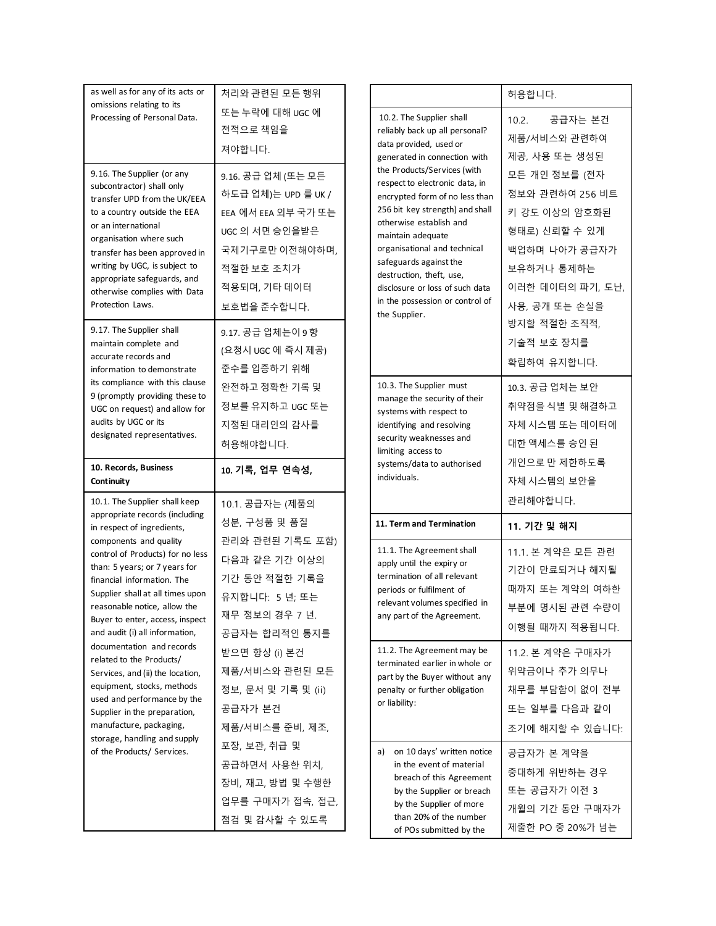| as well as for any of its acts or<br>omissions relating to its                                                                                                                                                                                                                                                                 | 처리와 관련된 모든 행위                                                                                                                                     |                                                                                                                                                                                                                                                                                                                                                                 | 허용합니다.                                                                                                                                 |
|--------------------------------------------------------------------------------------------------------------------------------------------------------------------------------------------------------------------------------------------------------------------------------------------------------------------------------|---------------------------------------------------------------------------------------------------------------------------------------------------|-----------------------------------------------------------------------------------------------------------------------------------------------------------------------------------------------------------------------------------------------------------------------------------------------------------------------------------------------------------------|----------------------------------------------------------------------------------------------------------------------------------------|
| Processing of Personal Data.                                                                                                                                                                                                                                                                                                   | 또는 누락에 대해 UGC 에<br>전적으로 책임을<br>져야합니다.                                                                                                             | 10.2. The Supplier shall<br>reliably back up all personal?<br>data provided, used or<br>generated in connection with                                                                                                                                                                                                                                            | 공급자는 본건<br>10.2.<br>제품/서비스와 관련하여<br>제공, 사용 또는 생성된                                                                                      |
| 9.16. The Supplier (or any<br>subcontractor) shall only<br>transfer UPD from the UK/EEA<br>to a country outside the EEA<br>or an international<br>organisation where such<br>transfer has been approved in<br>writing by UGC, is subject to<br>appropriate safeguards, and<br>otherwise complies with Data<br>Protection Laws. | 9.16. 공급 업체 (또는 모든<br>하도급 업체)는 UPD 를 UK /<br>EEA 에서 EEA 외부 국가 또는<br>UGC 의 서면 승인을받은<br>국제기구로만 이전해야하며,<br>적절한 보호 조치가<br>적용되며, 기타 데이터<br>보호법을 준수합니다. | the Products/Services (with<br>respect to electronic data, in<br>encrypted form of no less than<br>256 bit key strength) and shall<br>otherwise establish and<br>maintain adequate<br>organisational and technical<br>safeguards against the<br>destruction, theft, use,<br>disclosure or loss of such data<br>in the possession or control of<br>the Supplier. | 모든 개인 정보를 (전자<br>정보와 관련하여 256 비트<br>키 강도 이상의 암호화된<br>형태로) 신뢰할 수 있게<br>백업하며 나아가 공급자가<br>보유하거나 통제하는<br>이러한 데이터의 파기, 도난,<br>사용, 공개 또는 손실을 |
| 9.17. The Supplier shall<br>maintain complete and<br>accurate records and<br>information to demonstrate                                                                                                                                                                                                                        | 9.17. 공급 업체는이 9 항<br>(요청시 UGC 에 즉시 제공)<br>준수를 입증하기 위해                                                                                             |                                                                                                                                                                                                                                                                                                                                                                 | 방지할 적절한 조직적,<br>기술적 보호 장치를<br>확립하여 유지합니다.                                                                                              |
| its compliance with this clause<br>9 (promptly providing these to<br>UGC on request) and allow for<br>audits by UGC or its<br>designated representatives.                                                                                                                                                                      | 완전하고 정확한 기록 및<br>정보를 유지하고 UGC 또는<br>지정된 대리인의 감사를<br>허용해야합니다.                                                                                      | 10.3. The Supplier must<br>manage the security of their<br>systems with respect to<br>identifying and resolving<br>security weaknesses and<br>limiting access to                                                                                                                                                                                                | 10.3. 공급 업체는 보안<br>취약점을 식별 및 해결하고<br>자체 시스템 또는 데이터에<br>대한 액세스를 승인 된                                                                    |
|                                                                                                                                                                                                                                                                                                                                |                                                                                                                                                   |                                                                                                                                                                                                                                                                                                                                                                 |                                                                                                                                        |
| 10. Records, Business<br>Continuity                                                                                                                                                                                                                                                                                            | 10. 기록, 업무 연속성,                                                                                                                                   | systems/data to authorised<br>individuals.                                                                                                                                                                                                                                                                                                                      | 개인으로 만 제한하도록<br>자체 시스템의 보안을                                                                                                            |
| 10.1. The Supplier shall keep<br>appropriate records (including<br>in respect of ingredients,                                                                                                                                                                                                                                  | 10.1. 공급자는 (제품의<br>성분, 구성품 및 품질                                                                                                                   | 11. Term and Termination                                                                                                                                                                                                                                                                                                                                        | 관리해야합니다.<br>11. 기간 및 해지                                                                                                                |
| components and quality<br>control of Products) for no less<br>than: 5 years; or 7 years for<br>financial information. The<br>Supplier shall at all times upon<br>reasonable notice, allow the<br>Buyer to enter, access, inspect<br>and audit (i) all information,                                                             | 관리와 관련된 기록도 포함)<br>다음과 같은 기간 이상의<br>기간 동안 적절한 기록을<br>유지합니다: 5 년; 또는<br>재무 정보의 경우 7 년.<br>공급자는 합리적인 통지를                                            | 11.1. The Agreement shall<br>apply until the expiry or<br>termination of all relevant<br>periods or fulfilment of<br>relevant volumes specified in<br>any part of the Agreement.                                                                                                                                                                                | 11.1. 본 계약은 모든 관련<br>기간이 만료되거나 해지될<br>때까지 또는 계약의 여하한<br>부분에 명시된 관련 수량이<br>이행될 때까지 적용됩니다.                                               |
| documentation and records<br>related to the Products/<br>Services, and (ii) the location,<br>equipment, stocks, methods<br>used and performance by the<br>Supplier in the preparation,<br>manufacture, packaging,<br>storage, handling and supply                                                                              | 받으면 항상 (i) 본건<br>제품/서비스와 관련된 모든<br>정보, 문서 및 기록 및 (ii)<br>공급자가 본건<br>제품/서비스를 준비, 제조,                                                               | 11.2. The Agreement may be<br>terminated earlier in whole or<br>part by the Buyer without any<br>penalty or further obligation<br>or liability:                                                                                                                                                                                                                 | 11.2. 본 계약은 구매자가<br>위약금이나 추가 의무나<br>채무를 부담함이 없이 전부<br>또는 일부를 다음과 같이<br>조기에 해지할 수 있습니다:                                                 |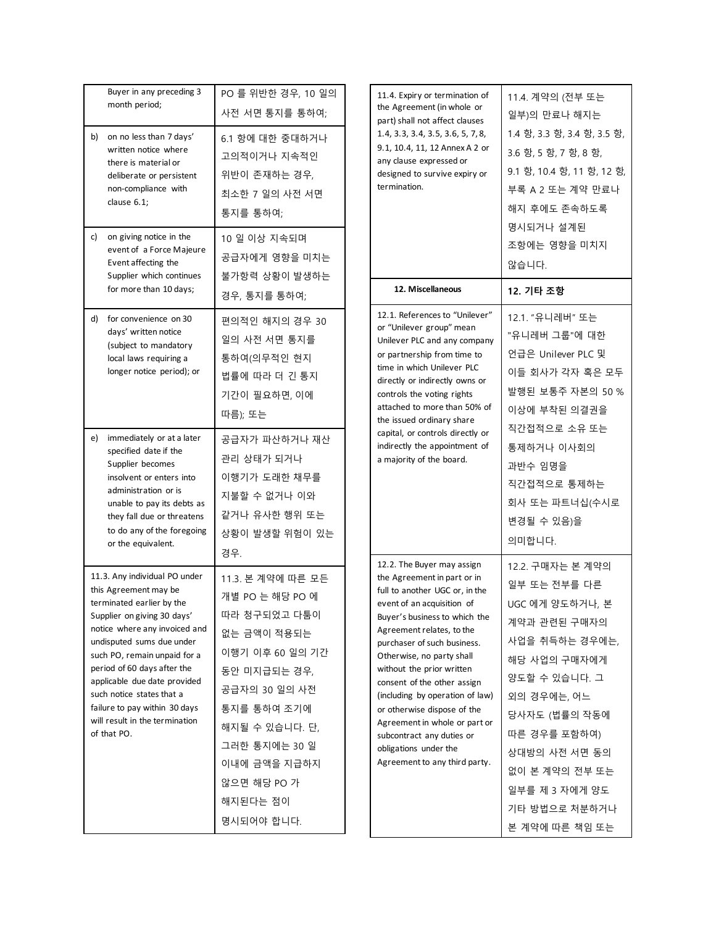| b) | Buyer in any preceding 3<br>month period;<br>on no less than 7 days'<br>written notice where<br>there is material or<br>deliberate or persistent<br>non-compliance with<br>clause 6.1;                                                                                                                                                                                                         | PO 를 위반한 경우, 10 일의<br>사전 서면 통지를 통하여;<br>6.1 항에 대한 중대하거나<br>고의적이거나 지속적인<br>위반이 존재하는 경우,<br>최소한 7 일의 사전 서면<br>통지를 통하여;                                                                                                               |  | 11.4. Expiry or termination of<br>the Agreement (in whole or<br>part) shall not affect clauses<br>1.4, 3.3, 3.4, 3.5, 3.6, 5, 7, 8,<br>9.1, 10.4, 11, 12 Annex A 2 or<br>any clause expressed or<br>designed to survive expiry or<br>termination.<br>12. Miscellaneous                                                                                                                                                                                                                                    |  |
|----|------------------------------------------------------------------------------------------------------------------------------------------------------------------------------------------------------------------------------------------------------------------------------------------------------------------------------------------------------------------------------------------------|------------------------------------------------------------------------------------------------------------------------------------------------------------------------------------------------------------------------------------|--|-----------------------------------------------------------------------------------------------------------------------------------------------------------------------------------------------------------------------------------------------------------------------------------------------------------------------------------------------------------------------------------------------------------------------------------------------------------------------------------------------------------|--|
| c) | on giving notice in the<br>event of a Force Majeure<br>Event affecting the<br>Supplier which continues<br>for more than 10 days;                                                                                                                                                                                                                                                               | 10 일 이상 지속되며<br>공급자에게 영향을 미치는<br>불가항력 상황이 발생하는<br>경우, 통지를 통하여;                                                                                                                                                                     |  |                                                                                                                                                                                                                                                                                                                                                                                                                                                                                                           |  |
| d) | for convenience on 30<br>days' written notice<br>(subject to mandatory<br>local laws requiring a<br>longer notice period); or                                                                                                                                                                                                                                                                  | 편의적인 해지의 경우 30<br>일의 사전 서면 통지를<br>통하여(의무적인 현지<br>법률에 따라 더 긴 통지<br>기간이 필요하면, 이에<br>따름); 또는                                                                                                                                          |  | 12.1. References to "Unilever"<br>or "Unilever group" mean<br>Unilever PLC and any company<br>or partnership from time to<br>time in which Unilever PLC<br>directly or indirectly owns or<br>controls the voting rights<br>attached to more than 50% of<br>the issued ordinary share                                                                                                                                                                                                                      |  |
| e) | immediately or at a later<br>specified date if the<br>Supplier becomes<br>insolvent or enters into<br>administration or is<br>unable to pay its debts as<br>they fall due or threatens<br>to do any of the foregoing<br>or the equivalent.                                                                                                                                                     | 공급자가 파산하거나 재산<br>관리 상태가 되거나<br>이행기가 도래한 채무를<br>지불할 수 없거나 이와<br>같거나 유사한 행위 또는<br>상황이 발생할 위험이 있는<br>경우.                                                                                                                              |  | capital, or controls directly or<br>indirectly the appointment of<br>a majority of the board.                                                                                                                                                                                                                                                                                                                                                                                                             |  |
|    | 11.3. Any individual PO under<br>this Agreement may be<br>terminated earlier by the<br>Supplier on giving 30 days'<br>notice where any invoiced and<br>undisputed sums due under<br>such PO, remain unpaid for a<br>period of 60 days after the<br>applicable due date provided<br>such notice states that a<br>failure to pay within 30 days<br>will result in the termination<br>of that PO. | 11.3. 본 계약에 따른 모든<br>개별 PO 는 해당 PO 에<br>따라 청구되었고 다툼이<br>없는 금액이 적용되는<br>이행기 이후 60 일의 기간<br>동안 미지급되는 경우,<br>공급자의 30 일의 사전<br>통지를 통하여 조기에<br>해지될 수 있습니다. 단,<br>그러한 통지에는 30 일<br>이내에 금액을 지급하지<br>않으면 해당 PO 가<br>해지된다는 점이<br>명시되어야 합니다. |  | 12.2. The Buyer may assign<br>the Agreement in part or in<br>full to another UGC or, in the<br>event of an acquisition of<br>Buyer's business to which the<br>Agreement relates, to the<br>purchaser of such business.<br>Otherwise, no party shall<br>without the prior written<br>consent of the other assign<br>(including by operation of law)<br>or otherwise dispose of the<br>Agreement in whole or part or<br>subcontract any duties or<br>obligations under the<br>Agreement to any third party. |  |

| . Expiry or termination of<br>Agreement (in whole or<br>shall not affect clauses<br>3.3, 3.4, 3.5, 3.6, 5, 7, 8,<br>10.4, 11, 12 Annex A 2 or<br>clause expressed or<br>gned to survive expiry or<br>ination.                                                                                                                                                                                                                           | 11.4. 계약의 (전부 또는<br>일부)의 만료나 해지는<br>1.4 항, 3.3 항, 3.4 항, 3.5 항,<br>3.6 항, 5 항, 7 항, 8 항,<br>9.1 항, 10.4 항, 11 항, 12 항,<br>부록 A 2 또는 계약 만료나<br>해지 후에도 존속하도록<br>명시되거나 설계된<br>조항에는 영향을 미치지<br>않습니다.                                                               |
|-----------------------------------------------------------------------------------------------------------------------------------------------------------------------------------------------------------------------------------------------------------------------------------------------------------------------------------------------------------------------------------------------------------------------------------------|----------------------------------------------------------------------------------------------------------------------------------------------------------------------------------------------------------------------------------------------------------------|
| 12. Miscellaneous                                                                                                                                                                                                                                                                                                                                                                                                                       | 12. 기타 조항                                                                                                                                                                                                                                                      |
| . References to "Unilever"<br>Jnilever group" mean<br>ever PLC and any company<br>artnership from time to<br>in which Unilever PLC<br>ctly or indirectly owns or<br>rols the voting rights<br>ched to more than 50% of<br>ssued ordinary share<br>al, or controls directly or:<br>ectly the appointment of<br>ijority of the board.                                                                                                     | 12.1. "유니레버" 또는<br>"유니레버 그룹"에 대한<br>언급은 Unilever PLC 및<br>이들 회사가 각자 혹은 모두<br>발행된 보통주 자본의 50 %<br>이상에 부착된 의결권을<br>직간접적으로 소유 또는<br>통제하거나 이사회의<br>과반수 임명을<br>직간접적으로 통제하는<br>회사 또는 파트너십(수시로<br>변경될 수 있음)을<br>의미합니다.                                                |
| . The Buyer may assign<br>Agreement in part or in<br>o another UGC or, in the<br>nt of an acquisition of<br>er's business to which the<br>ement relates, to the<br>haser of such business.<br>erwise, no party shall<br>out the prior written<br>ent of the other assign<br>uding by operation of law)<br>herwise dispose of the<br>ement in whole or part or<br>ontract any duties or<br>ations under the<br>ement to any third party. | 12.2. 구매자는 본 계약의<br>일부 또는 전부를 다른<br>UGC 에게 양도하거나, 본<br>계약과 관련된 구매자의<br>사업을 취득하는 경우에는,<br>해당 사업의 구매자에게<br>양도할 수 있습니다. 그<br>외의 경우에는, 어느<br>당사자도 (법률의 작동에<br>따른 경우를 포함하여)<br>상대방의 사전 서면 동의<br>없이 본 계약의 전부 또는<br>일부를 제 3 자에게 양도<br>기타 방법으로 처분하거나<br>본 계약에 따른 책임 또는 |

┑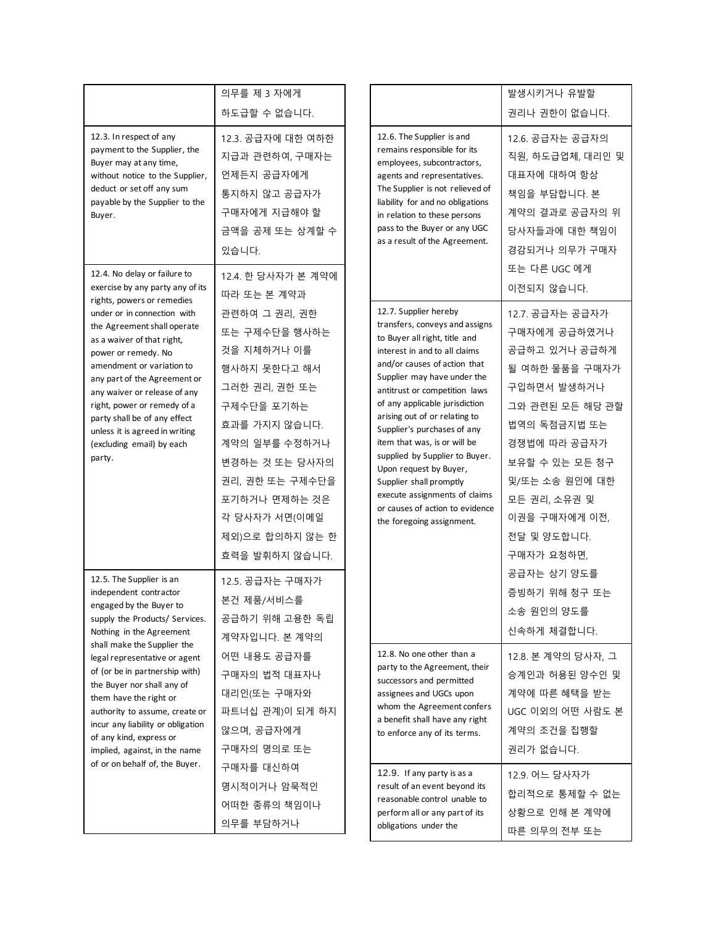| 12.3. In respect of any                                                                                                                                                                                                                                                                                                                                                                                                                                                                                                                                                                                    | 의무를 제 3 자에게<br>하도급할 수 없습니다.                                                                                                                                                                                                                |                                                                                                                                                                                                                   | 12.6. The Supplier is and                                                                                                                                                                                                                                                                                                                                                                                                                                                                                                                           | 발생시키거나 유발할<br>권리나 권한이 없습니다.                                                                                                                                                                                                            |
|------------------------------------------------------------------------------------------------------------------------------------------------------------------------------------------------------------------------------------------------------------------------------------------------------------------------------------------------------------------------------------------------------------------------------------------------------------------------------------------------------------------------------------------------------------------------------------------------------------|--------------------------------------------------------------------------------------------------------------------------------------------------------------------------------------------------------------------------------------------|-------------------------------------------------------------------------------------------------------------------------------------------------------------------------------------------------------------------|-----------------------------------------------------------------------------------------------------------------------------------------------------------------------------------------------------------------------------------------------------------------------------------------------------------------------------------------------------------------------------------------------------------------------------------------------------------------------------------------------------------------------------------------------------|----------------------------------------------------------------------------------------------------------------------------------------------------------------------------------------------------------------------------------------|
| payment to the Supplier, the<br>Buyer may at any time,<br>without notice to the Supplier,<br>deduct or set off any sum<br>payable by the Supplier to the<br>Buyer.                                                                                                                                                                                                                                                                                                                                                                                                                                         | 12.3. 공급자에 대한 여하한<br>지급과 관련하여, 구매자는<br>언제든지 공급자에게<br>통지하지 않고 공급자가<br>구매자에게 지급해야 할<br>금액을 공제 또는 상계할 수<br>있습니다.                                                                                                                              |                                                                                                                                                                                                                   | remains responsible for its<br>employees, subcontractors,<br>agents and representatives.<br>The Supplier is not relieved of<br>liability for and no obligations<br>in relation to these persons<br>pass to the Buyer or any UGC<br>as a result of the Agreement.                                                                                                                                                                                                                                                                                    | 12.6. 공급자는 공급자의<br>직원, 하도급업체, 대리인 및<br>대표자에 대하여 항상<br>책임을 부담합니다. 본<br>계약의 결과로 공급자의 위<br>당사자들과에 대한 책임이<br>경감되거나 의무가 구매자                                                                                                                 |
| 12.4. No delay or failure to<br>12.4. 한 당사자가 본 계약에<br>exercise by any party any of its<br>따라 또는 본 계약과<br>rights, powers or remedies                                                                                                                                                                                                                                                                                                                                                                                                                                                                        |                                                                                                                                                                                                                                            | 또는 다른 UGC 에게<br>이전되지 않습니다.                                                                                                                                                                                        |                                                                                                                                                                                                                                                                                                                                                                                                                                                                                                                                                     |                                                                                                                                                                                                                                        |
| under or in connection with<br>the Agreement shall operate<br>as a waiver of that right,<br>power or remedy. No<br>amendment or variation to<br>any part of the Agreement or<br>any waiver or release of any<br>right, power or remedy of a<br>party shall be of any effect<br>unless it is agreed in writing<br>(excluding email) by each<br>party.                                                                                                                                                                                                                                                       | 관련하여 그 권리, 권한<br>또는 구제수단을 행사하는<br>것을 지체하거나 이를<br>행사하지 못한다고 해서<br>그러한 권리, 권한 또는<br>구제수단을 포기하는<br>효과를 가지지 않습니다.<br>계약의 일부를 수정하거나<br>변경하는 것 또는 당사자의<br>권리, 권한 또는 구제수단을<br>포기하거나 면제하는 것은<br>각 당사자가 서면(이메일<br>제외)으로 합의하지 않는 한<br>효력을 발휘하지 않습니다. |                                                                                                                                                                                                                   | 12.7. Supplier hereby<br>transfers, conveys and assigns<br>to Buyer all right, title and<br>interest in and to all claims<br>and/or causes of action that<br>Supplier may have under the<br>antitrust or competition laws<br>of any applicable jurisdiction<br>arising out of or relating to<br>Supplier's purchases of any<br>item that was, is or will be<br>supplied by Supplier to Buyer.<br>Upon request by Buyer,<br>Supplier shall promptly<br>execute assignments of claims<br>or causes of action to evidence<br>the foregoing assignment. | 12.7. 공급자는 공급자가<br>구매자에게 공급하였거나<br>공급하고 있거나 공급하게<br>될 여하한 물품을 구매자가<br>구입하면서 발생하거나<br>그와 관련된 모든 해당 관할<br>법역의 독점금지법 또는<br>경쟁법에 따라 공급자가<br>보유할 수 있는 모든 청구<br>및/또는 소송 원인에 대한<br>모든 권리, 소유권 및<br>이권을 구매자에게 이전,<br>전달 및 양도합니다.<br>구매자가 요청하면, |
| 12.5. The Supplier is an<br>12.5. 공급자는 구매자가<br>independent contractor<br>본건 제품/서비스를<br>engaged by the Buyer to<br>공급하기 위해 고용한 독립<br>supply the Products/ Services.<br>Nothing in the Agreement<br>계약자입니다. 본 계약의<br>shall make the Supplier the<br>어떤 내용도 공급자를<br>legal representative or agent<br>of (or be in partnership with)<br>구매자의 법적 대표자나<br>the Buyer nor shall any of<br>대리인(또는 구매자와<br>them have the right or<br>파트너십 관계)이 되게 하지<br>authority to assume, create or<br>incur any liability or obligation<br>않으며, 공급자에게<br>of any kind, express or<br>구매자의 명의로 또는<br>implied, against, in the name |                                                                                                                                                                                                                                            |                                                                                                                                                                                                                   |                                                                                                                                                                                                                                                                                                                                                                                                                                                                                                                                                     | 공급자는 상기 양도를<br>증빙하기 위해 청구 또는<br>소송 원인의 양도를<br>신속하게 체결합니다.                                                                                                                                                                              |
|                                                                                                                                                                                                                                                                                                                                                                                                                                                                                                                                                                                                            |                                                                                                                                                                                                                                            | 12.8. No one other than a<br>party to the Agreement, their<br>successors and permitted<br>assignees and UGCs upon<br>whom the Agreement confers<br>a benefit shall have any right<br>to enforce any of its terms. | 12.8. 본 계약의 당사자, 그<br>승계인과 허용된 양수인 및<br>계약에 따른 혜택을 받는<br>UGC 이외의 어떤 사람도 본<br>계약의 조건을 집행할<br>권리가 없습니다.                                                                                                                                                                                                                                                                                                                                                                                                                                               |                                                                                                                                                                                                                                        |
| of or on behalf of, the Buyer.                                                                                                                                                                                                                                                                                                                                                                                                                                                                                                                                                                             | 구매자를 대신하여<br>명시적이거나 암묵적인<br>어떠한 종류의 책임이나<br>의무를 부담하거나                                                                                                                                                                                      |                                                                                                                                                                                                                   | 12.9. If any party is as a<br>result of an event beyond its<br>reasonable control unable to<br>perform all or any part of its<br>obligations under the                                                                                                                                                                                                                                                                                                                                                                                              | 12.9. 어느 당사자가<br>합리적으로 통제할 수 없는<br>상황으로 인해 본 계약에<br>따른 의무의 전부 또는                                                                                                                                                                       |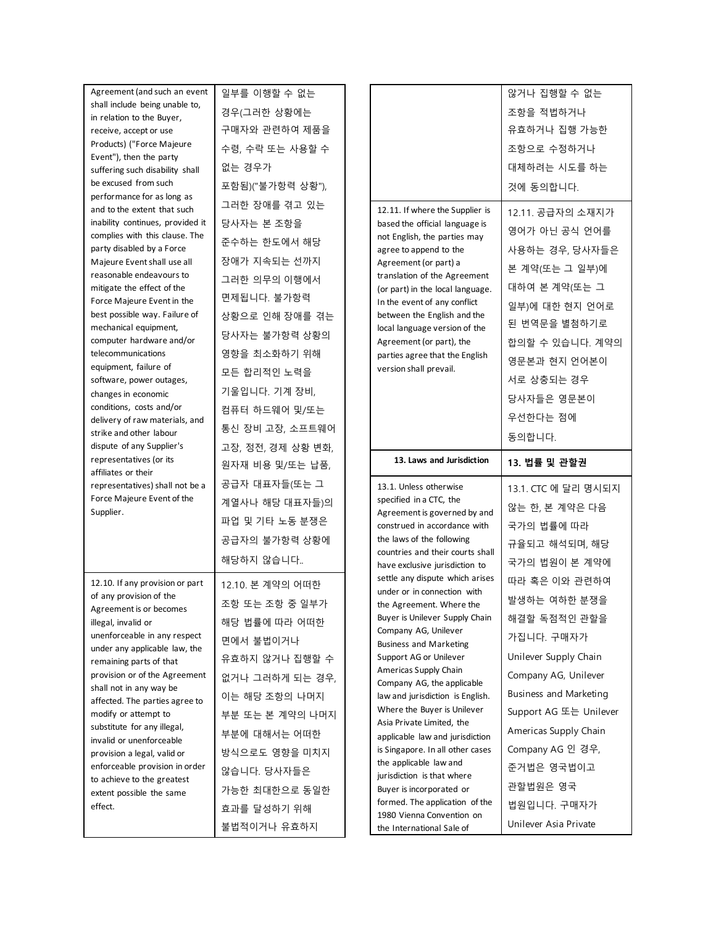| Agreement (and such an event                                  | 일부를 이행할 수 없는                 |  |                                                                     | 않거나 집행할 수 없는                  |
|---------------------------------------------------------------|------------------------------|--|---------------------------------------------------------------------|-------------------------------|
| shall include being unable to,                                | 경우(그러한 상황에는                  |  |                                                                     | 조항을 적법하거나                     |
| in relation to the Buyer,<br>receive, accept or use           | 구매자와 관련하여 제품을                |  |                                                                     | 유효하거나 집행 가능한                  |
| Products) ("Force Majeure                                     |                              |  |                                                                     |                               |
| Event"), then the party                                       | 수령, 수락 또는 사용할 수              |  |                                                                     | 조항으로 수정하거나                    |
| suffering such disability shall                               | 없는 경우가                       |  |                                                                     | 대체하려는 시도를 하는                  |
| be excused from such                                          | 포함됨)("불가항력 상황"),             |  |                                                                     | 것에 동의합니다.                     |
| performance for as long as<br>and to the extent that such     | 그러한 장애를 겪고 있는                |  | 12.11. If where the Supplier is                                     |                               |
| inability continues, provided it                              | 당사자는 본 조항을                   |  | based the official language is                                      | 12.11. 공급자의 소재지가              |
| complies with this clause. The                                | 준수하는 한도에서 해당                 |  | not English, the parties may                                        | 영어가 아닌 공식 언어를                 |
| party disabled by a Force<br>Majeure Event shall use all      | 장애가 지속되는 선까지                 |  | agree to append to the<br>Agreement (or part) a                     | 사용하는 경우, 당사자들은                |
| reasonable endeavours to                                      | 그러한 의무의 이행에서                 |  | translation of the Agreement                                        | 본 계약(또는 그 일부)에                |
| mitigate the effect of the                                    | 면제됩니다. 불가항력                  |  | (or part) in the local language.                                    | 대하여 본 계약(또는 그                 |
| Force Majeure Event in the<br>best possible way. Failure of   | 상황으로 인해 장애를 겪는               |  | In the event of any conflict<br>between the English and the         | 일부)에 대한 현지 언어로                |
| mechanical equipment,                                         | 당사자는 불가항력 상황의                |  | local language version of the                                       | 된 번역문을 별첨하기로                  |
| computer hardware and/or<br>telecommunications                | 영향을 최소화하기 위해                 |  | Agreement (or part), the<br>parties agree that the English          | 합의할 수 있습니다. 계약의               |
| equipment, failure of                                         | 모든 합리적인 노력을                  |  | version shall prevail.                                              | 영문본과 현지 언어본이                  |
| software, power outages,                                      | 기울입니다. 기계 장비,                |  |                                                                     | 서로 상충되는 경우                    |
| changes in economic<br>conditions, costs and/or               | 컴퓨터 하드웨어 및/또는                |  |                                                                     | 당사자들은 영문본이                    |
| delivery of raw materials, and                                | 통신 장비 고장, 소프트웨어              |  |                                                                     | 우선한다는 점에                      |
| strike and other labour<br>dispute of any Supplier's          |                              |  |                                                                     | 동의합니다.                        |
| representatives (or its                                       | 고장, 정전, 경제 상황 변화,            |  | 13. Laws and Jurisdiction                                           | 13. 법률 및 관할권                  |
| affiliates or their                                           | 원자재 비용 및/또는 납품,              |  | 13.1. Unless otherwise<br>specified in a CTC, the                   |                               |
| representatives) shall not be a<br>Force Majeure Event of the | 공급자 대표자들(또는 그                |  |                                                                     | 13.1. CTC 에 달리 명시되지           |
| Supplier.                                                     | 계열사나 해당 대표자들)의               |  | Agreement is governed by and                                        | 않는 한, 본 계약은 다음                |
|                                                               | 파업 및 기타 노동 분쟁은               |  | construed in accordance with                                        | 국가의 법률에 따라                    |
|                                                               | 공급자의 불가항력 상황에                |  | the laws of the following<br>countries and their courts shall       | 규율되고 해석되며, 해당                 |
|                                                               | 해당하지 않습니다                    |  | have exclusive jurisdiction to<br>settle any dispute which arises   | 국가의 법원이 본 계약에                 |
| 12.10. If any provision or part                               | 12.10. 본 계약의 어떠한             |  |                                                                     | 따라 혹은 이와 관련하여                 |
| of any provision of the                                       | 조항 또는 조항 중 일부가               |  | under or in connection with                                         | 발생하는 여하한 분쟁을                  |
| Agreement is or becomes                                       |                              |  | the Agreement. Where the                                            |                               |
| illegal, invalid or                                           |                              |  | Buyer is Unilever Supply Chain                                      | 해결할 독점적인 관할을                  |
| unenforceable in any respect                                  | 해당 법률에 따라 어떠한                |  | Company AG, Unilever                                                | 가집니다. 구매자가                    |
| under any applicable law, the                                 | 면에서 불법이거나                    |  | <b>Business and Marketing</b><br>Support AG or Unilever             | Unilever Supply Chain         |
| remaining parts of that<br>provision or of the Agreement      | 유효하지 않거나 집행할 수               |  | Americas Supply Chain                                               | Company AG, Unilever          |
| shall not in any way be                                       | 없거나 그러하게 되는 경우,              |  | Company AG, the applicable<br>law and jurisdiction is English.      | <b>Business and Marketing</b> |
| affected. The parties agree to<br>modify or attempt to        | 이는 해당 조항의 나머지                |  | Where the Buyer is Unilever                                         | Support AG 또는 Unilever        |
| substitute for any illegal,                                   | 부분 또는 본 계약의 나머지              |  | Asia Private Limited, the                                           | Americas Supply Chain         |
| invalid or unenforceable                                      | 부분에 대해서는 어떠한                 |  | applicable law and jurisdiction<br>is Singapore. In all other cases | Company AG 인 경우,              |
| provision a legal, valid or<br>enforceable provision in order | 방식으로도 영향을 미치지                |  | the applicable law and                                              | 준거법은 영국법이고                    |
| to achieve to the greatest                                    | 않습니다. 당사자들은                  |  | jurisdiction is that where<br>Buyer is incorporated or              | 관할법원은 영국                      |
| extent possible the same<br>effect.                           | 가능한 최대한으로 동일한<br>효과를 달성하기 위해 |  | formed. The application of the<br>1980 Vienna Convention on         | 법원입니다. 구매자가                   |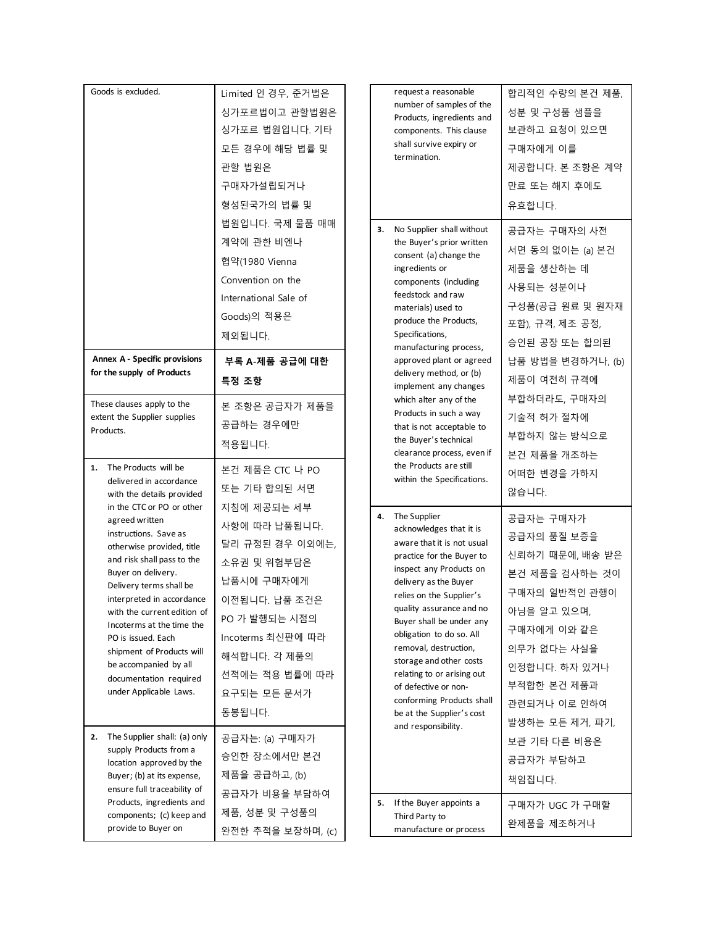| Goods is excluded.                                                                                                                                                                                                                                                                                                                                                                                                                              | Limited 인 경우, 준거법은<br>싱가포르법이고 관할법원은<br>싱가포르 법원입니다. 기타<br>모든 경우에 해당 법률 및<br>관할 법원은<br>구매자가설립되거나<br>형성된국가의 법률 및                                                                                                    |                          |    | request a reasonable<br>number of samples of the<br>Products, ingredients and<br>components. This clause<br>shall survive expiry or<br>termination.                                                                                                                                                                                                                                                                                                                  | 합리적인 수량의 본건 제품,<br>성분 및 구성품 샘플을<br>보관하고 요청이 있으면<br>구매자에게 이를<br>제공합니다. 본 조항은 계약<br>만료 또는 해지 후에도<br>유효합니다.                                                                                                       |                                                           |
|-------------------------------------------------------------------------------------------------------------------------------------------------------------------------------------------------------------------------------------------------------------------------------------------------------------------------------------------------------------------------------------------------------------------------------------------------|------------------------------------------------------------------------------------------------------------------------------------------------------------------------------------------------------------------|--------------------------|----|----------------------------------------------------------------------------------------------------------------------------------------------------------------------------------------------------------------------------------------------------------------------------------------------------------------------------------------------------------------------------------------------------------------------------------------------------------------------|----------------------------------------------------------------------------------------------------------------------------------------------------------------------------------------------------------------|-----------------------------------------------------------|
| 법원입니다. 국제 물품 매매<br>계약에 관한 비엔나<br>협약(1980 Vienna<br>Convention on the<br>International Sale of<br>Goods)의 적용은<br>제외됩니다.                                                                                                                                                                                                                                                                                                                          |                                                                                                                                                                                                                  | 3.                       |    | No Supplier shall without<br>the Buyer's prior written<br>consent (a) change the<br>ingredients or<br>components (including<br>feedstock and raw<br>materials) used to<br>produce the Products,<br>Specifications,<br>manufacturing process,                                                                                                                                                                                                                         | 공급자는 구매자의 사전<br>서면 동의 없이는 (a) 본건<br>제품을 생산하는 데<br>사용되는 성분이나<br>구성품(공급 원료 및 원자재<br>포함), 규격, 제조 공정,<br>승인된 공장 또는 합의된<br>납품 방법을 변경하거나, (b)<br>제품이 여전히 규격에                                                         |                                                           |
| Annex A - Specific provisions<br>for the supply of Products                                                                                                                                                                                                                                                                                                                                                                                     | 부록 A-제품 공급에 대한<br>특정 조항                                                                                                                                                                                          | approved plant or agreed |    | delivery method, or (b)<br>implement any changes                                                                                                                                                                                                                                                                                                                                                                                                                     |                                                                                                                                                                                                                |                                                           |
| These clauses apply to the<br>extent the Supplier supplies<br>Products.                                                                                                                                                                                                                                                                                                                                                                         | 본 조항은 공급자가 제품을<br>공급하는 경우에만<br>적용됩니다.                                                                                                                                                                            |                          |    |                                                                                                                                                                                                                                                                                                                                                                                                                                                                      | which alter any of the<br>Products in such a way<br>that is not acceptable to<br>the Buyer's technical<br>clearance process, even if                                                                           | 부합하더라도, 구매자의<br>기술적 허가 절차에<br>부합하지 않는 방식으로<br>본건 제품을 개조하는 |
| The Products will be<br>1.<br>delivered in accordance<br>with the details provided                                                                                                                                                                                                                                                                                                                                                              | 본건 제품은 CTC 나 PO<br>또는 기타 합의된 서면                                                                                                                                                                                  |                          |    | the Products are still<br>within the Specifications.                                                                                                                                                                                                                                                                                                                                                                                                                 | 어떠한 변경을 가하지<br>않습니다.                                                                                                                                                                                           |                                                           |
| in the CTC or PO or other<br>agreed written<br>instructions. Save as<br>otherwise provided, title<br>and risk shall pass to the<br>Buyer on delivery.<br>Delivery terms shall be<br>interpreted in accordance<br>with the current edition of<br>Incoterms at the time the<br>PO is issued. Each<br>shipment of Products will<br>be accompanied by all<br>documentation required<br>under Applicable Laws.<br>The Supplier shall: (a) only<br>2. | 지침에 제공되는 세부<br>사항에 따라 납품됩니다.<br>달리 규정된 경우 이외에는,<br>소유권 및 위험부담은<br>납품시에 구매자에게<br>이전됩니다. 납품 조건은<br>PO 가 발행되는 시점의<br>Incoterms 최신판에 따라<br>해석합니다. 각 제품의<br>선적에는 적용 법률에 따라<br>요구되는 모든 문서가<br>동봉됩니다.<br>공급자는: (a) 구매자가 |                          |    | 4. The Supplier<br>acknowledges that it is<br>aware that it is not usual<br>practice for the Buyer to<br>inspect any Products on<br>delivery as the Buyer<br>relies on the Supplier's<br>quality assurance and no<br>Buyer shall be under any<br>obligation to do so. All<br>removal, destruction,<br>storage and other costs<br>relating to or arising out<br>of defective or non-<br>conforming Products shall<br>be at the Supplier's cost<br>and responsibility. | 공급자는 구매자가<br>공급자의 품질 보증을<br>신뢰하기 때문에, 배송 받은<br>본건 제품을 검사하는 것이<br>구매자의 일반적인 관행이<br>아님을 알고 있으며,<br>구매자에게 이와 같은<br>의무가 없다는 사실을<br>인정합니다. 하자 있거나<br>부적합한 본건 제품과<br>관련되거나 이로 인하여<br>발생하는 모든 제거, 파기,<br>보관 기타 다른 비용은 |                                                           |
| supply Products from a<br>location approved by the<br>Buyer; (b) at its expense,<br>ensure full traceability of                                                                                                                                                                                                                                                                                                                                 | 승인한 장소에서만 본건<br>제품을 공급하고, (b)                                                                                                                                                                                    |                          |    |                                                                                                                                                                                                                                                                                                                                                                                                                                                                      | 공급자가 부담하고<br>책임집니다.                                                                                                                                                                                            |                                                           |
| Products, ingredients and<br>components; (c) keep and<br>provide to Buyer on                                                                                                                                                                                                                                                                                                                                                                    | 공급자가 비용을 부담하여<br>제품, 성분 및 구성품의<br>완전한 추적을 보장하며, (c)                                                                                                                                                              |                          | 5. | If the Buyer appoints a<br>Third Party to<br>manufacture or process                                                                                                                                                                                                                                                                                                                                                                                                  | 구매자가 UGC 가 구매할<br>완제품을 제조하거나                                                                                                                                                                                   |                                                           |